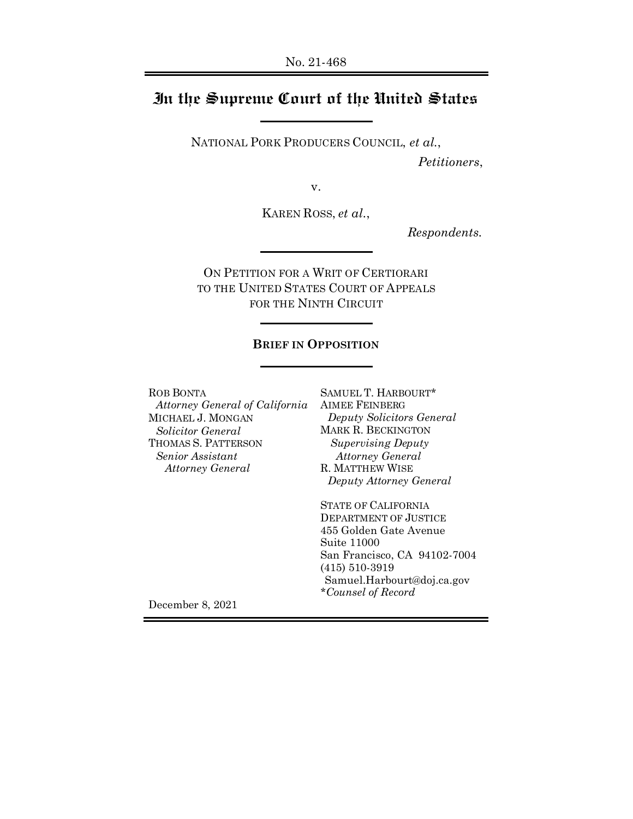## **In the Supreme Court of the United States**

NATIONAL PORK PRODUCERS COUNCIL, *et al.*,

*Petitioners*,

v.

KAREN ROSS, *et al.*,

*Respondents.*

ON PETITION FOR A WRIT OF CERTIORARI TO THE UNITED STATES COURT OF APPEALS FOR THE NINTH CIRCUIT

### **BRIEF IN OPPOSITION**

ROB BONTA *Attorney General of California* MICHAEL J. MONGAN *Solicitor General* THOMAS S. PATTERSON *Senior Assistant Attorney General*

SAMUEL T. HARBOURT\* AIMEE FEINBERG *Deputy Solicitors General* MARK R. BECKINGTON *Supervising Deputy Attorney General* R. MATTHEW WISE *Deputy Attorney General*

STATE OF CALIFORNIA DEPARTMENT OF JUSTICE 455 Golden Gate Avenue Suite 11000 San Francisco, CA 94102-7004 (415) 510-3919 Samuel.Harbourt@doj.ca.gov *\*Counsel of Record* 

December 8, 2021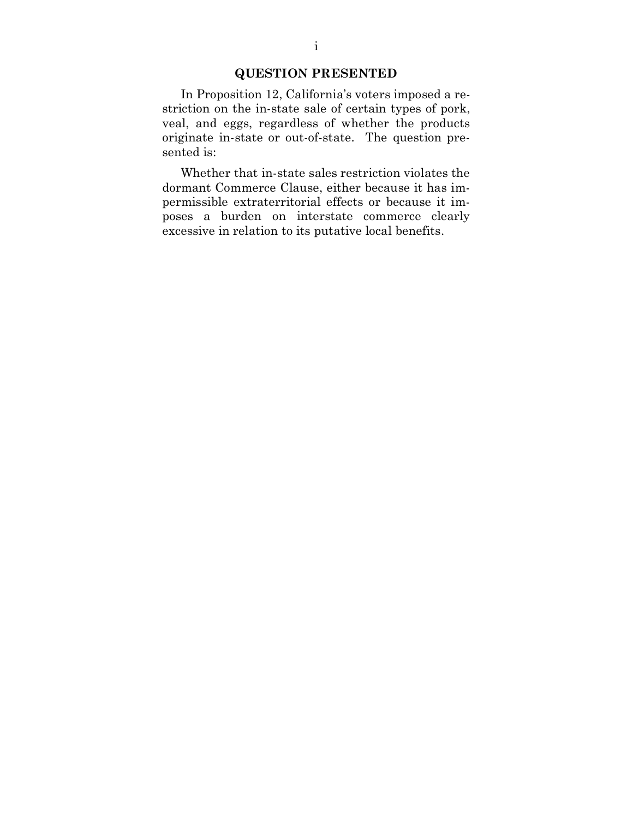### **QUESTION PRESENTED**

In Proposition 12, California's voters imposed a restriction on the in-state sale of certain types of pork, veal, and eggs, regardless of whether the products originate in-state or out-of-state. The question presented is:

Whether that in-state sales restriction violates the dormant Commerce Clause, either because it has impermissible extraterritorial effects or because it imposes a burden on interstate commerce clearly excessive in relation to its putative local benefits.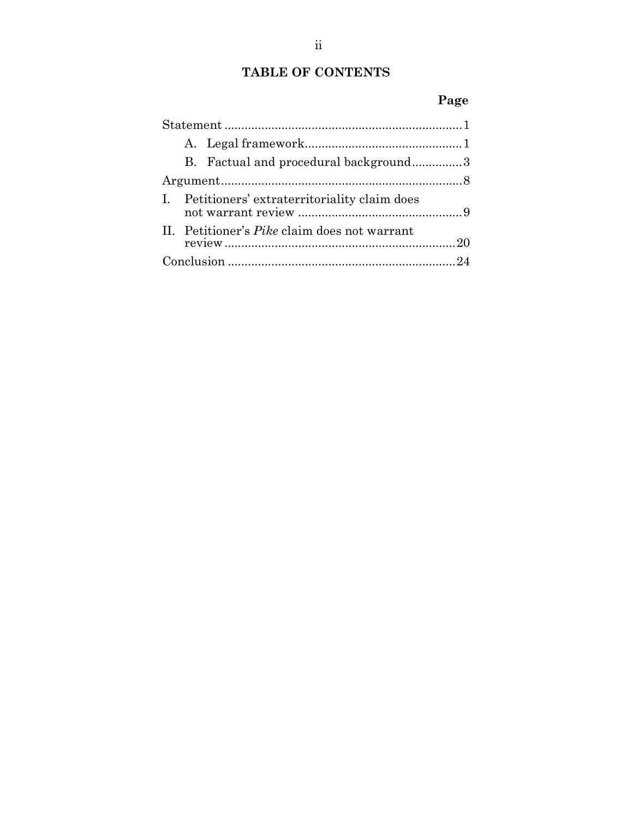## **TABLE OF CONTENTS**

# **Page**

|  |  | B. Factual and procedural background3               |  |
|--|--|-----------------------------------------------------|--|
|  |  |                                                     |  |
|  |  | I. Petitioners' extraterritoriality claim does      |  |
|  |  | II. Petitioner's <i>Pike</i> claim does not warrant |  |
|  |  |                                                     |  |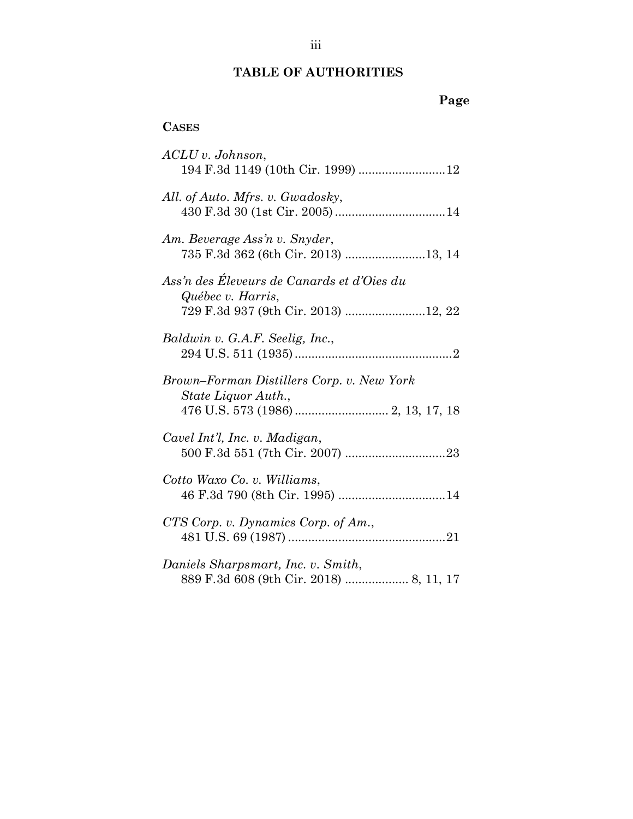## **TABLE OF AUTHORITIES**

# **Page**

### **CASES**

| $\textit{ACLU}$ v. Johnson,<br>194 F.3d 1149 (10th Cir. 1999) 12                                       |
|--------------------------------------------------------------------------------------------------------|
| All. of Auto. Mfrs. v. Gwadosky,                                                                       |
| Am. Beverage Ass'n v. Snyder,<br>735 F.3d 362 (6th Cir. 2013) 13, 14                                   |
| Ass'n des Éleveurs de Canards et d'Oies du<br>Québec v. Harris,<br>729 F.3d 937 (9th Cir. 2013) 12, 22 |
| Baldwin v. G.A.F. Seelig, Inc.,                                                                        |
| Brown-Forman Distillers Corp. v. New York<br>State Liquor Auth.,                                       |
| Cavel Int'l, Inc. v. Madigan,                                                                          |
| Cotto Waxo Co. v. Williams,                                                                            |
| CTS Corp. v. Dynamics Corp. of Am.,                                                                    |
| Daniels Sharpsmart, Inc. v. Smith,<br>889 F.3d 608 (9th Cir. 2018)  8, 11, 17                          |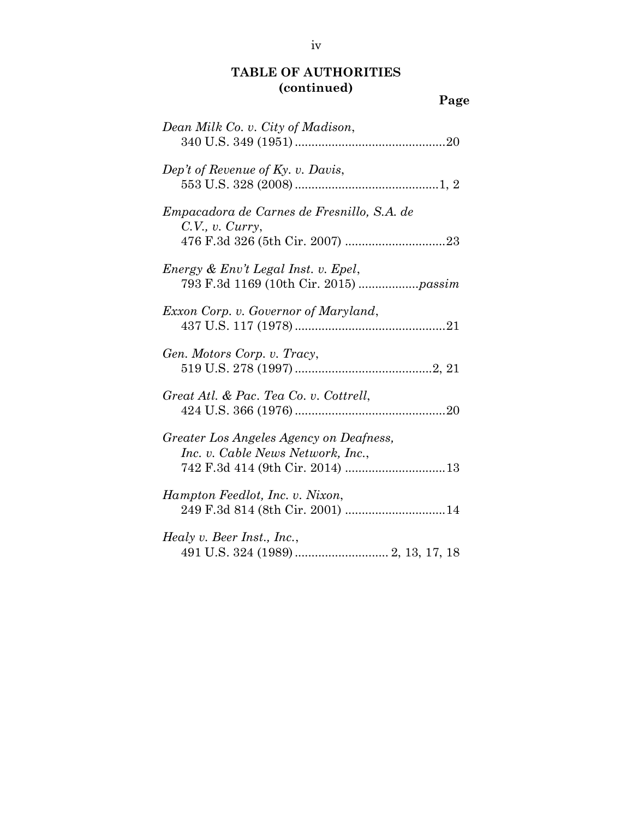**Page**

| Dean Milk Co. v. City of Madison,                                            |
|------------------------------------------------------------------------------|
| Dep't of Revenue of Ky. v. Davis,                                            |
| Empacadora de Carnes de Fresnillo, S.A. de<br>C.V., v. Curry,                |
| Energy & Env't Legal Inst. v. Epel,                                          |
| <i>Exxon Corp. v. Governor of Maryland,</i>                                  |
| Gen. Motors Corp. v. Tracy,                                                  |
| Great Atl. & Pac. Tea Co. v. Cottrell,                                       |
| Greater Los Angeles Agency on Deafness,<br>Inc. v. Cable News Network, Inc., |
| Hampton Feedlot, Inc. v. Nixon,                                              |
| Healy v. Beer Inst., Inc.,                                                   |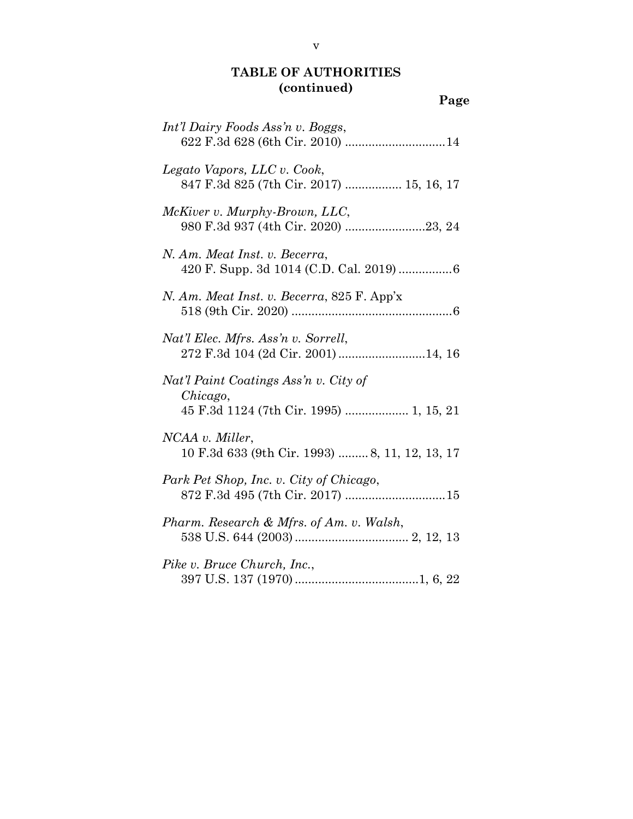**Page**

| Int'l Dairy Foods Ass'n v. Boggs,                                                            |
|----------------------------------------------------------------------------------------------|
| Legato Vapors, LLC v. Cook,<br>847 F.3d 825 (7th Cir. 2017)  15, 16, 17                      |
| McKiver v. Murphy-Brown, LLC,<br>980 F.3d 937 (4th Cir. 2020) 23, 24                         |
| N. Am. Meat Inst. v. Becerra,                                                                |
| N. Am. Meat Inst. v. Becerra, 825 F. App'x                                                   |
| Nat'l Elec. Mfrs. Ass'n v. Sorrell,<br>272 F.3d 104 (2d Cir. 2001) 14, 16                    |
| Nat'l Paint Coatings Ass'n v. City of<br>Chicago,<br>45 F.3d 1124 (7th Cir. 1995)  1, 15, 21 |
| NCAA v. Miller,<br>10 F.3d 633 (9th Cir. 1993) 8, 11, 12, 13, 17                             |
| Park Pet Shop, Inc. v. City of Chicago,                                                      |
| Pharm. Research & Mfrs. of Am. v. Walsh,                                                     |
| Pike v. Bruce Church, Inc.,                                                                  |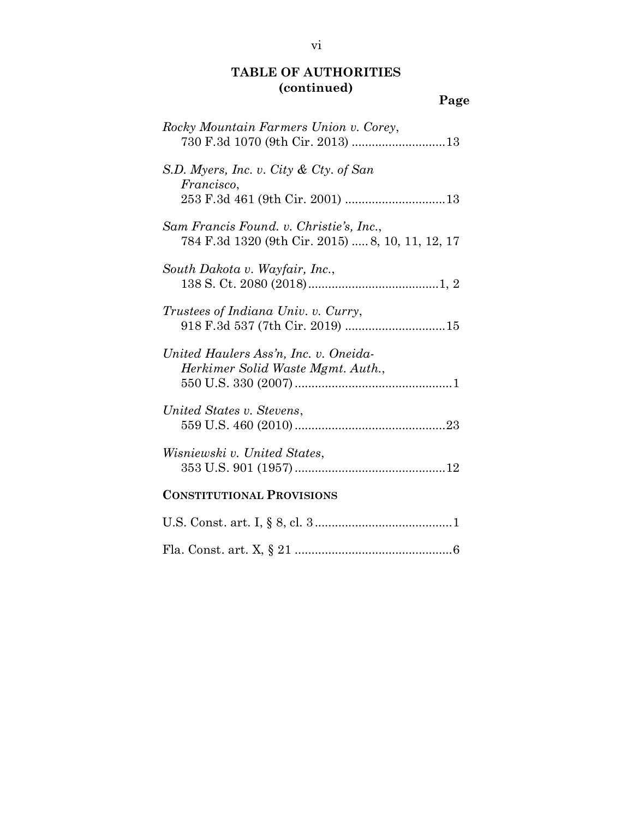**Page**

vi

| Rocky Mountain Farmers Union v. Corey,                                                      |
|---------------------------------------------------------------------------------------------|
| S.D. Myers, Inc. v. City & Cty. of San<br><i>Francisco,</i>                                 |
| Sam Francis Found. v. Christie's, Inc.,<br>784 F.3d 1320 (9th Cir. 2015)  8, 10, 11, 12, 17 |
| South Dakota v. Wayfair, Inc.,                                                              |
| Trustees of Indiana Univ. v. Curry,                                                         |
| United Haulers Ass'n, Inc. v. Oneida-<br>Herkimer Solid Waste Mgmt. Auth.,                  |
| United States v. Stevens,                                                                   |
| Wisniewski v. United States,                                                                |
| <b>CONSTITUTIONAL PROVISIONS</b>                                                            |
|                                                                                             |

Fla. Const. art. X, § 21 ..............................................[.6](#page-15-1)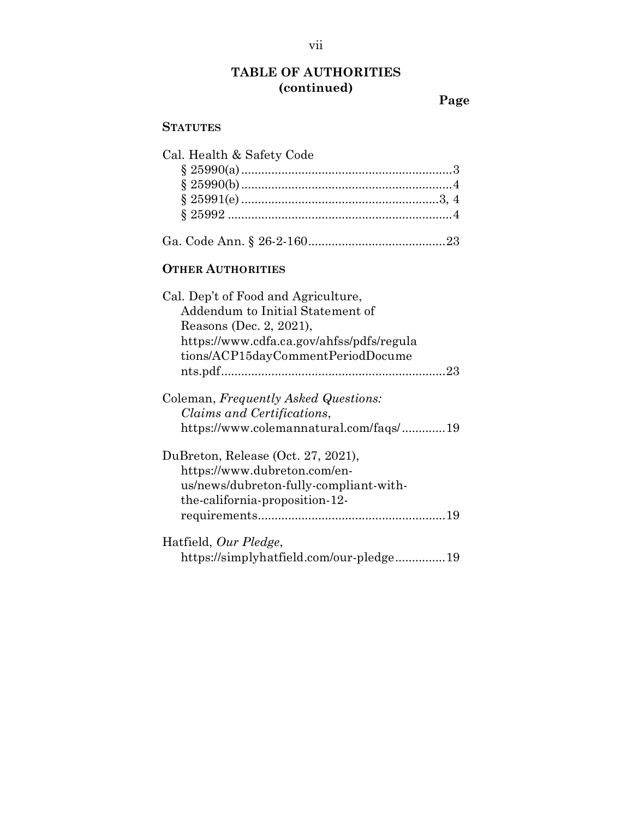**Page**

### **STATUTES**

| Cal. Health & Safety Code                 |
|-------------------------------------------|
|                                           |
|                                           |
|                                           |
|                                           |
|                                           |
| <b>OTHER AUTHORITIES</b>                  |
| Cal. Dep't of Food and Agriculture,       |
| Addendum to Initial Statement of          |
| Reasons (Dec. 2, 2021),                   |
| https://www.cdfa.ca.gov/ahfss/pdfs/regula |
| tions/ACP15dayCommentPeriodDocume         |
|                                           |
| Coleman, Frequently Asked Questions:      |
| Claims and Certifications,                |
| https://www.colemannatural.com/faqs/19    |
| DuBreton, Release (Oct. 27, 2021),        |
| https://www.dubreton.com/en-              |
| us/news/dubreton-fully-compliant-with-    |
| the-california-proposition-12-            |
|                                           |
| Hatfield, Our Pledge,                     |
| https://simplyhatfield.com/our-pledge19   |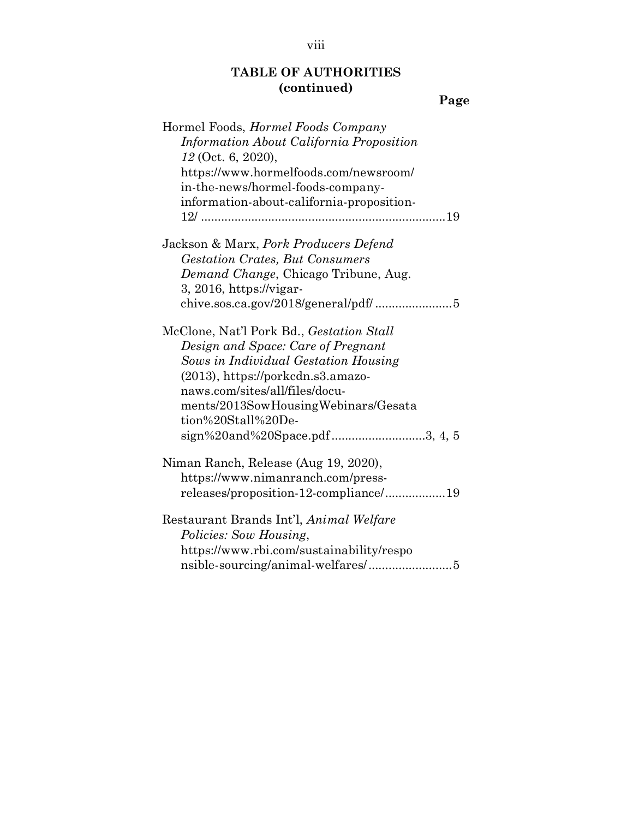# **Page**

| Hormel Foods, <i>Hormel Foods Company</i> |
|-------------------------------------------|
| Information About California Proposition  |
| 12 (Oct. 6, 2020),                        |
| https://www.hormelfoods.com/newsroom/     |
| in-the-news/hormel-foods-company-         |
| information-about-california-proposition- |
|                                           |
|                                           |
| Jackson & Marx, Pork Producers Defend     |
| <b>Gestation Crates, But Consumers</b>    |
| Demand Change, Chicago Tribune, Aug.      |
| $3, 2016, $                               |
|                                           |
|                                           |
| McClone, Nat'l Pork Bd., Gestation Stall  |
| Design and Space: Care of Pregnant        |
| Sows in Individual Gestation Housing      |
| $(2013)$ , https://porkcdn.s3.amazo-      |
| naws.com/sites/all/files/docu-            |
| ments/2013SowHousingWebinars/Gesata       |
| tion%20Stall%20De-                        |
| sign%20and%20Space.pdf3, 4, 5             |
| Niman Ranch, Release (Aug 19, 2020),      |
| https://www.nimanranch.com/press-         |
| releases/proposition-12-compliance/19     |
|                                           |
| Restaurant Brands Int'l, Animal Welfare   |
| Policies: Sow Housing,                    |
| https://www.rbi.com/sustainability/respo  |
|                                           |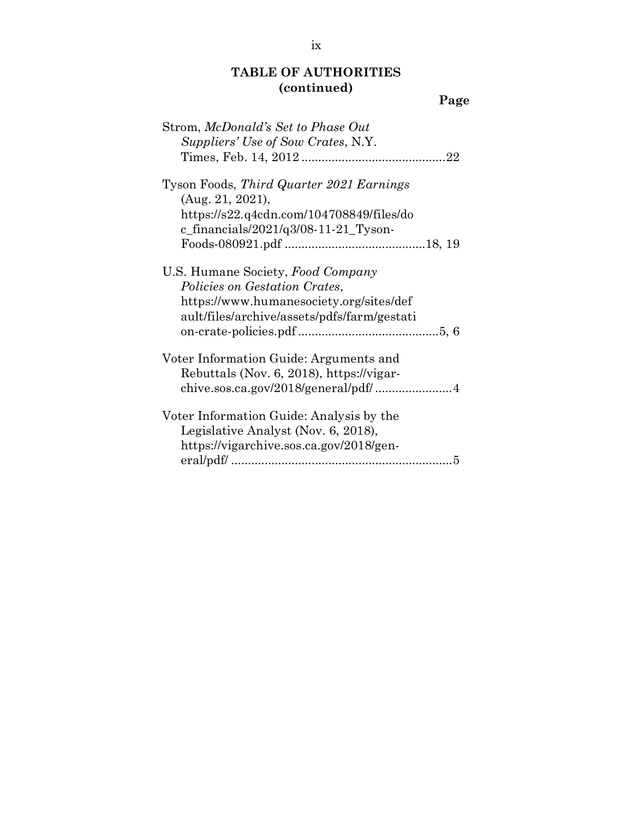|--|

| Strom, McDonald's Set to Phase Out<br>Suppliers' Use of Sow Crates, N.Y.                                                                                     |
|--------------------------------------------------------------------------------------------------------------------------------------------------------------|
| Tyson Foods, Third Quarter 2021 Earnings<br>(Aug. 21, 2021),<br>https://s22.q4cdn.com/104708849/files/do<br>c_financials/2021/q3/08-11-21_Tyson-             |
| U.S. Humane Society, Food Company<br>Policies on Gestation Crates,<br>https://www.humanesociety.org/sites/def<br>ault/files/archive/assets/pdfs/farm/gestati |
| Voter Information Guide: Arguments and<br>Rebuttals (Nov. 6, 2018), https://vigar-                                                                           |
| Voter Information Guide: Analysis by the<br>Legislative Analyst (Nov. 6, 2018),<br>https://vigarchive.sos.ca.gov/2018/gen-<br>5                              |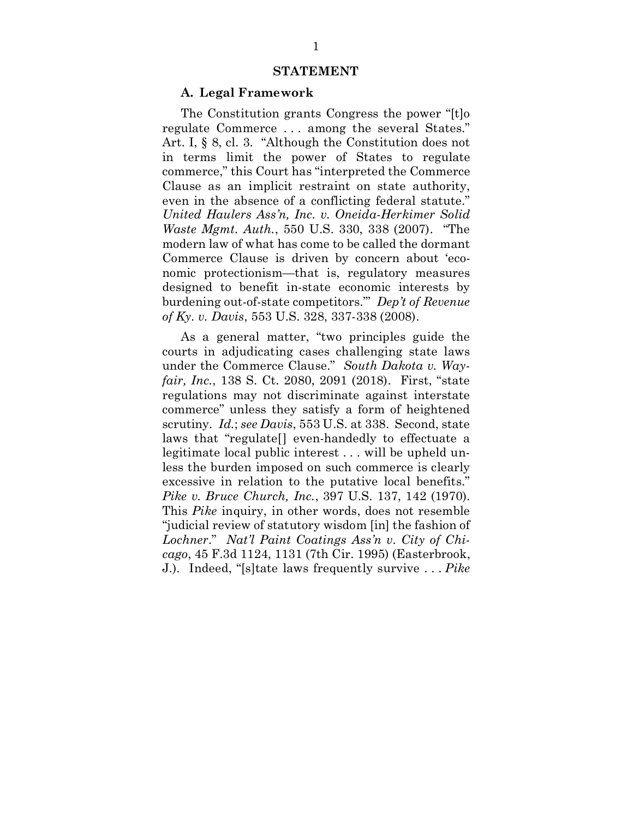#### **STATEMENT**

#### **A. Legal Framework**

<span id="page-10-4"></span><span id="page-10-3"></span>The Constitution grants Congress the power "[t]o regulate Commerce . . . among the several States." Art. I, § 8, cl. 3. "Although the Constitution does not in terms limit the power of States to regulate commerce," this Court has "interpreted the Commerce Clause as an implicit restraint on state authority, even in the absence of a conflicting federal statute." *United Haulers Ass'n, Inc. v. Oneida-Herkimer Solid Waste Mgmt. Auth.*, 550 U.S. 330, 338 (2007). "The modern law of what has come to be called the dormant Commerce Clause is driven by concern about 'economic protectionism—that is, regulatory measures designed to benefit in-state economic interests by burdening out-of-state competitors.'" *Dep't of Revenue of Ky. v. Davis*, 553 U.S. 328, 337-338 (2008).

<span id="page-10-2"></span><span id="page-10-1"></span><span id="page-10-0"></span>As a general matter, "two principles guide the courts in adjudicating cases challenging state laws under the Commerce Clause." *South Dakota v. Wayfair, Inc.*, 138 S. Ct. 2080, 2091 (2018). First, "state regulations may not discriminate against interstate commerce" unless they satisfy a form of heightened scrutiny. *Id.*; *see Davis*, 553 U.S. at 338. Second, state laws that "regulate[] even-handedly to effectuate a legitimate local public interest . . . will be upheld unless the burden imposed on such commerce is clearly excessive in relation to the putative local benefits." *Pike v. Bruce Church, Inc.*, 397 U.S. 137, 142 (1970). This *Pike* inquiry, in other words, does not resemble "judicial review of statutory wisdom [in] the fashion of *Lochner*." *Nat'l Paint Coatings Ass'n v. City of Chicago*, 45 F.3d 1124, 1131 (7th Cir. 1995) (Easterbrook, J.). Indeed, "[s]tate laws frequently survive . . . *Pike*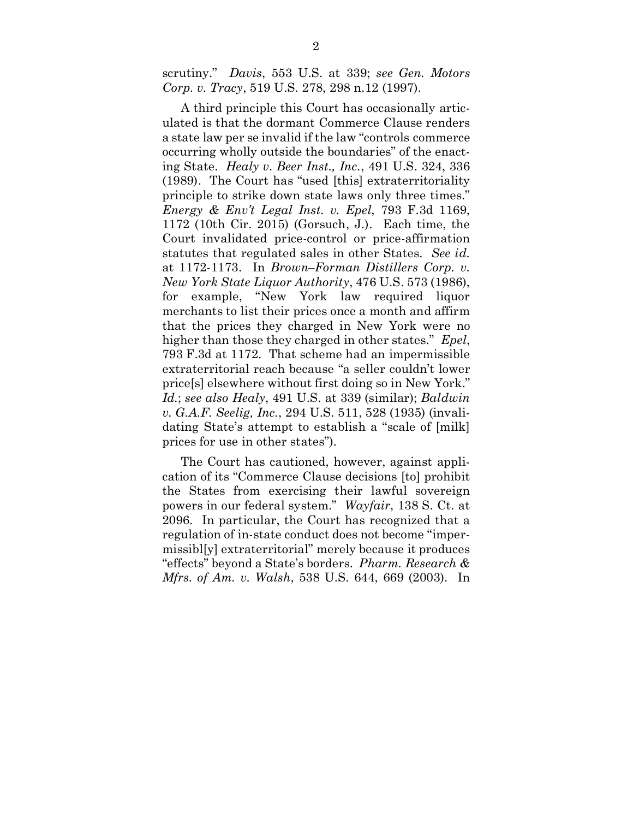<span id="page-11-4"></span><span id="page-11-2"></span>scrutiny." *Davis*, 553 U.S. at 339; *see Gen. Motors Corp. v. Tracy*, 519 U.S. 278, 298 n.12 (1997).

<span id="page-11-5"></span><span id="page-11-3"></span><span id="page-11-1"></span>A third principle this Court has occasionally articulated is that the dormant Commerce Clause renders a state law per se invalid if the law "controls commerce occurring wholly outside the boundaries" of the enacting State. *Healy v. Beer Inst., Inc.*, 491 U.S. 324, 336 (1989). The Court has "used [this] extraterritoriality principle to strike down state laws only three times." *Energy & Env't Legal Inst. v. Epel*, 793 F.3d 1169, 1172 (10th Cir. 2015) (Gorsuch, J.). Each time, the Court invalidated price-control or price-affirmation statutes that regulated sales in other States. *See id.* at 1172-1173. In *Brown–Forman Distillers Corp. v. New York State Liquor Authority*, 476 U.S. 573 (1986), for example, "New York law required liquor merchants to list their prices once a month and affirm that the prices they charged in New York were no higher than those they charged in other states." *Epel*, 793 F.3d at 1172. That scheme had an impermissible extraterritorial reach because "a seller couldn't lower price[s] elsewhere without first doing so in New York." *Id.*; *see also Healy*, 491 U.S. at 339 (similar); *Baldwin v. G.A.F. Seelig, Inc.*, 294 U.S. 511, 528 (1935) (invalidating State's attempt to establish a "scale of [milk] prices for use in other states").

<span id="page-11-7"></span><span id="page-11-6"></span><span id="page-11-0"></span>The Court has cautioned, however, against application of its "Commerce Clause decisions [to] prohibit the States from exercising their lawful sovereign powers in our federal system." *Wayfair*, 138 S. Ct. at 2096. In particular, the Court has recognized that a regulation of in-state conduct does not become "impermissibl[y] extraterritorial" merely because it produces "effects" beyond a State's borders. *Pharm. Research & Mfrs. of Am. v. Walsh*, 538 U.S. 644, 669 (2003). In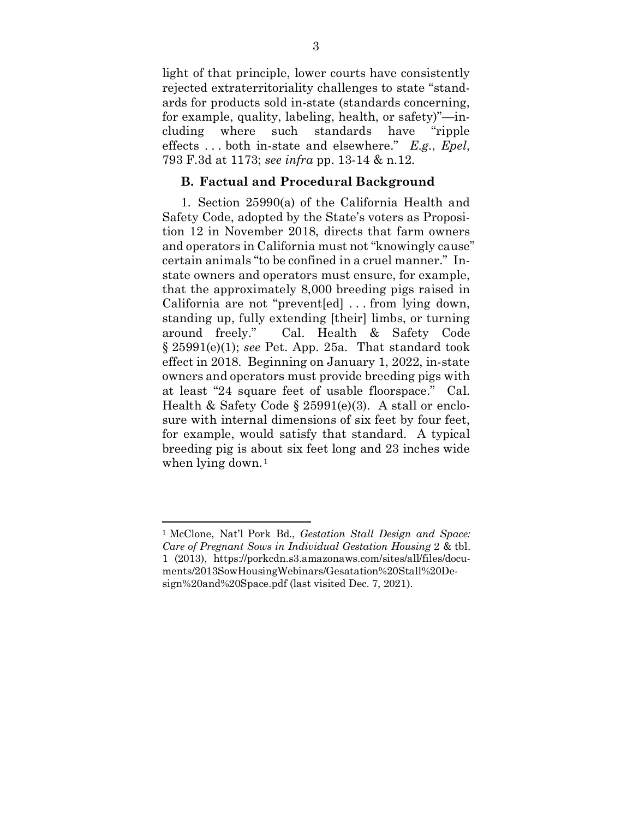light of that principle, lower courts have consistently rejected extraterritoriality challenges to state "standards for products sold in-state (standards concerning, for example, quality, labeling, health, or safety)"—including where such standards have "ripple effects . . . both in-state and elsewhere." *E.g.*, *Epel*, 793 F.3d at 1173; *see infra* pp. 13-14 & n.12.

### <span id="page-12-0"></span>**B. Factual and Procedural Background**

<span id="page-12-1"></span>1. Section 25990(a) of the California Health and Safety Code, adopted by the State's voters as Proposition 12 in November 2018, directs that farm owners and operators in California must not "knowingly cause" certain animals "to be confined in a cruel manner." Instate owners and operators must ensure, for example, that the approximately 8,000 breeding pigs raised in California are not "prevent[ed] . . . from lying down, standing up, fully extending [their] limbs, or turning around freely." Cal. Health & Safety Code § 25991(e)(1); *see* Pet. App. 25a. That standard took effect in 2018. Beginning on January 1, 2022, in-state owners and operators must provide breeding pigs with at least "24 square feet of usable floorspace." Cal. Health & Safety Code § 25991(e)(3). A stall or enclosure with internal dimensions of six feet by four feet, for example, would satisfy that standard. A typical breeding pig is about six feet long and 23 inches wide when lying down.<sup>[1](#page-12-4)</sup>

<span id="page-12-4"></span><span id="page-12-3"></span><span id="page-12-2"></span><sup>1</sup> McClone, Nat'l Pork Bd., *Gestation Stall Design and Space: Care of Pregnant Sows in Individual Gestation Housing* 2 & tbl. 1 (2013), https://porkcdn.s3.amazonaws.com/sites/all/files/documents/2013SowHousingWebinars/Gesatation%20Stall%20Design%20and%20Space.pdf (last visited Dec. 7, 2021).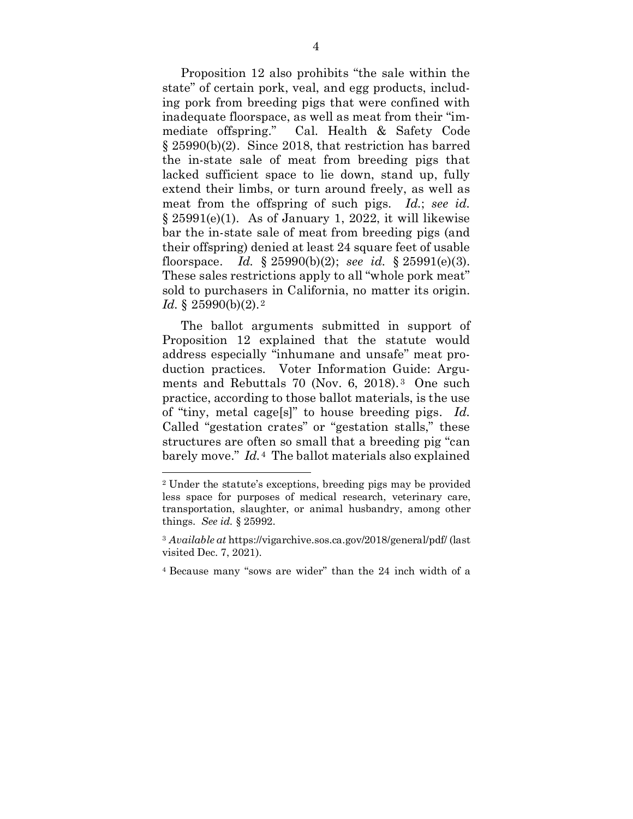<span id="page-13-0"></span>Proposition 12 also prohibits "the sale within the state" of certain pork, veal, and egg products, including pork from breeding pigs that were confined with inadequate floorspace, as well as meat from their "immediate offspring." Cal. Health & Safety Code § 25990(b)(2). Since 2018, that restriction has barred the in-state sale of meat from breeding pigs that lacked sufficient space to lie down, stand up, fully extend their limbs, or turn around freely, as well as meat from the offspring of such pigs. *Id.*; *see id.*  $\S 25991(e)(1)$ . As of January 1, 2022, it will likewise bar the in-state sale of meat from breeding pigs (and their offspring) denied at least 24 square feet of usable floorspace. *Id.* § 25990(b)(2); *see id.* § 25991(e)(3). These sales restrictions apply to all "whole pork meat" sold to purchasers in California, no matter its origin. *Id.* § [2](#page-13-2)5990(b)(2).<sup>2</sup>

<span id="page-13-1"></span>The ballot arguments submitted in support of Proposition 12 explained that the statute would address especially "inhumane and unsafe" meat production practices. Voter Information Guide: Argu-ments and Rebuttals 70 (Nov. 6, 2018).<sup>[3](#page-13-3)</sup> One such practice, according to those ballot materials, is the use of "tiny, metal cage[s]" to house breeding pigs. *Id.*  Called "gestation crates" or "gestation stalls," these structures are often so small that a breeding pig "can barely move." *Id.*[4](#page-13-4) The ballot materials also explained

<span id="page-13-2"></span><sup>2</sup> Under the statute's exceptions, breeding pigs may be provided less space for purposes of medical research, veterinary care, transportation, slaughter, or animal husbandry, among other things. *See id.* § 25992.

<span id="page-13-3"></span><sup>3</sup> *Available at* https://vigarchive.sos.ca.gov/2018/general/pdf/ (last visited Dec. 7, 2021).

<span id="page-13-4"></span><sup>4</sup> Because many "sows are wider" than the 24 inch width of a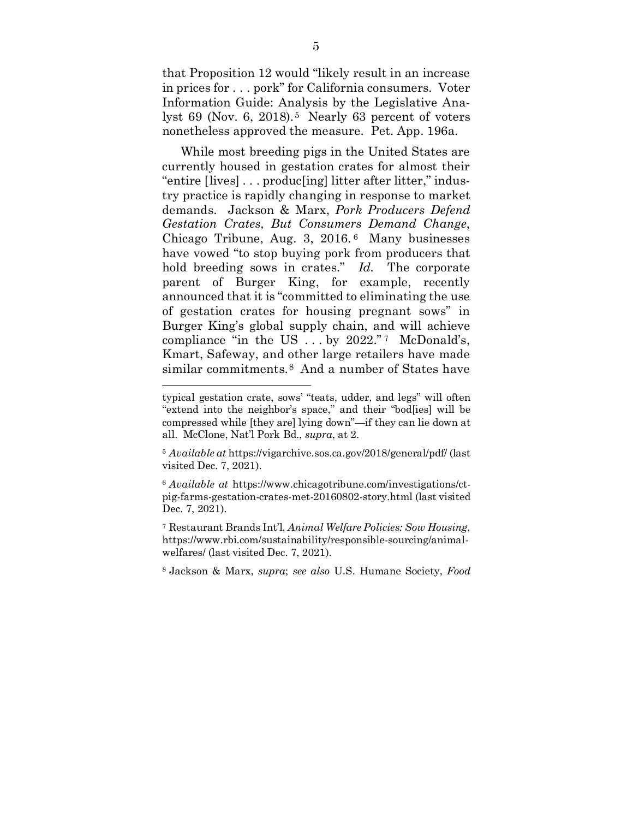that Proposition 12 would "likely result in an increase in prices for . . . pork" for California consumers. Voter Information Guide: Analysis by the Legislative Analyst 69 (Nov. 6, 2018).<sup>5</sup> Nearly 63 percent of voters nonetheless approved the measure. Pet. App. 196a.

<span id="page-14-0"></span>While most breeding pigs in the United States are currently housed in gestation crates for almost their "entire [lives] . . . produc[ing] litter after litter," industry practice is rapidly changing in response to market demands. Jackson & Marx, *Pork Producers Defend Gestation Crates, But Consumers Demand Change*, Chicago Tribune, Aug. 3, 2016. [6](#page-14-4) Many businesses have vowed "to stop buying pork from producers that hold breeding sows in crates." *Id.* The corporate parent of Burger King, for example, recently announced that it is "committed to eliminating the use of gestation crates for housing pregnant sows" in Burger King's global supply chain, and will achieve compliance "in the US  $\dots$  by 2022." [7](#page-14-5) McDonald's, Kmart, Safeway, and other large retailers have made similar commitments.<sup>[8](#page-14-6)</sup> And a number of States have

 $\overline{a}$ typical gestation crate, sows' "teats, udder, and legs" will often "extend into the neighbor's space," and their "bod[ies] will be compressed while [they are] lying down"—if they can lie down at all. McClone, Nat'l Pork Bd., *supra*, at 2.

<span id="page-14-3"></span><sup>5</sup> *Available at* https://vigarchive.sos.ca.gov/2018/general/pdf/ (last visited Dec. 7, 2021).

<span id="page-14-4"></span><sup>6</sup> *Available at* https://www.chicagotribune.com/investigations/ctpig-farms-gestation-crates-met-20160802-story.html (last visited Dec. 7, 2021).

<span id="page-14-5"></span><span id="page-14-1"></span><sup>7</sup> Restaurant Brands Int'l, *Animal Welfare Policies: Sow Housing*, https://www.rbi.com/sustainability/responsible-sourcing/animalwelfares/ (last visited Dec. 7, 2021).

<span id="page-14-6"></span><span id="page-14-2"></span><sup>8</sup> Jackson & Marx, *supra*; *see also* U.S. Humane Society, *Food*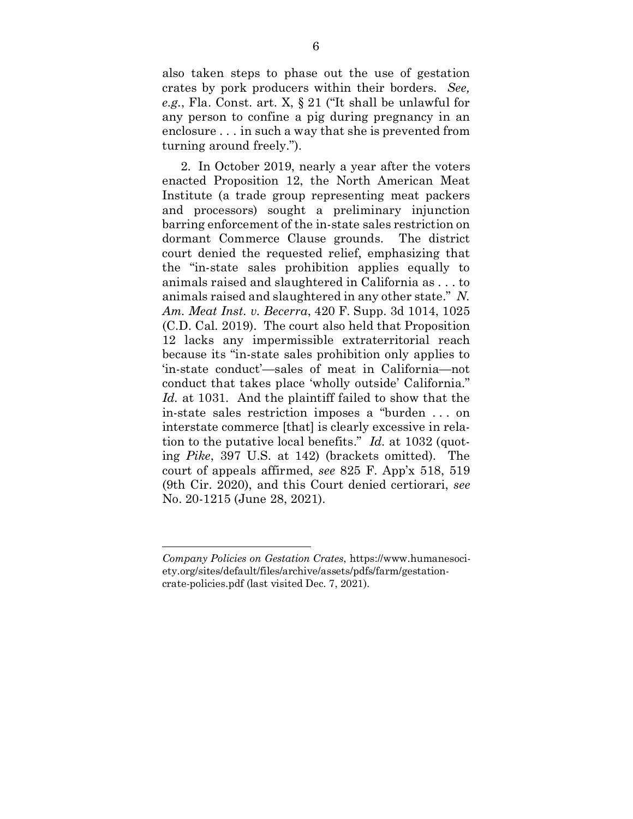<span id="page-15-1"></span>also taken steps to phase out the use of gestation crates by pork producers within their borders. *See, e.g.*, Fla. Const. art. X, § 21 ("It shall be unlawful for any person to confine a pig during pregnancy in an enclosure . . . in such a way that she is prevented from turning around freely.").

<span id="page-15-0"></span>2. In October 2019, nearly a year after the voters enacted Proposition 12, the North American Meat Institute (a trade group representing meat packers and processors) sought a preliminary injunction barring enforcement of the in-state sales restriction on dormant Commerce Clause grounds. The district court denied the requested relief, emphasizing that the "in-state sales prohibition applies equally to animals raised and slaughtered in California as . . . to animals raised and slaughtered in any other state." *N. Am. Meat Inst. v. Becerra*, 420 F. Supp. 3d 1014, 1025 (C.D. Cal. 2019). The court also held that Proposition 12 lacks any impermissible extraterritorial reach because its "in-state sales prohibition only applies to 'in-state conduct'—sales of meat in California—not conduct that takes place 'wholly outside' California." *Id.* at 1031. And the plaintiff failed to show that the in-state sales restriction imposes a "burden . . . on interstate commerce [that] is clearly excessive in relation to the putative local benefits." *Id.* at 1032 (quoting *Pike*, 397 U.S. at 142) (brackets omitted). The court of appeals affirmed, *see* 825 F. App'x 518, 519 (9th Cir. 2020), and this Court denied certiorari, *see* No. 20-1215 (June 28, 2021).

*Company Policies on Gestation Crates*, https://www.humanesociety.org/sites/default/files/archive/assets/pdfs/farm/gestationcrate-policies.pdf (last visited Dec. 7, 2021).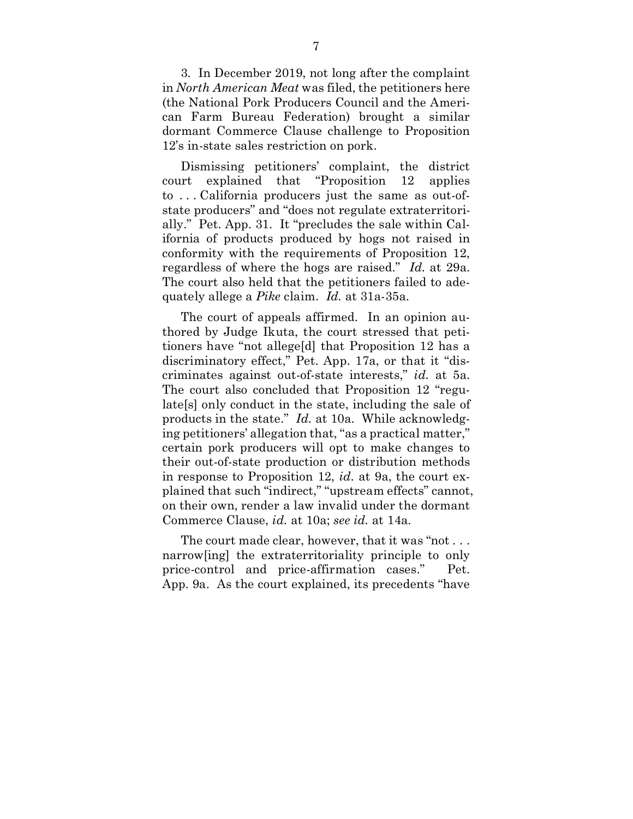3. In December 2019, not long after the complaint in *North American Meat* was filed, the petitioners here (the National Pork Producers Council and the American Farm Bureau Federation) brought a similar dormant Commerce Clause challenge to Proposition 12's in-state sales restriction on pork.

Dismissing petitioners' complaint, the district court explained that "Proposition 12 applies to . . . California producers just the same as out-ofstate producers" and "does not regulate extraterritorially." Pet. App. 31. It "precludes the sale within California of products produced by hogs not raised in conformity with the requirements of Proposition 12, regardless of where the hogs are raised." *Id.* at 29a. The court also held that the petitioners failed to adequately allege a *Pike* claim. *Id.* at 31a-35a.

The court of appeals affirmed. In an opinion authored by Judge Ikuta, the court stressed that petitioners have "not allege[d] that Proposition 12 has a discriminatory effect," Pet. App. 17a, or that it "discriminates against out-of-state interests," *id.* at 5a. The court also concluded that Proposition 12 "regulate[s] only conduct in the state, including the sale of products in the state." *Id.* at 10a. While acknowledging petitioners' allegation that, "as a practical matter," certain pork producers will opt to make changes to their out-of-state production or distribution methods in response to Proposition 12, *id.* at 9a, the court explained that such "indirect," "upstream effects" cannot, on their own, render a law invalid under the dormant Commerce Clause, *id.* at 10a; *see id.* at 14a.

The court made clear, however, that it was "not . . . narrow[ing] the extraterritoriality principle to only price-control and price-affirmation cases." Pet. App. 9a. As the court explained, its precedents "have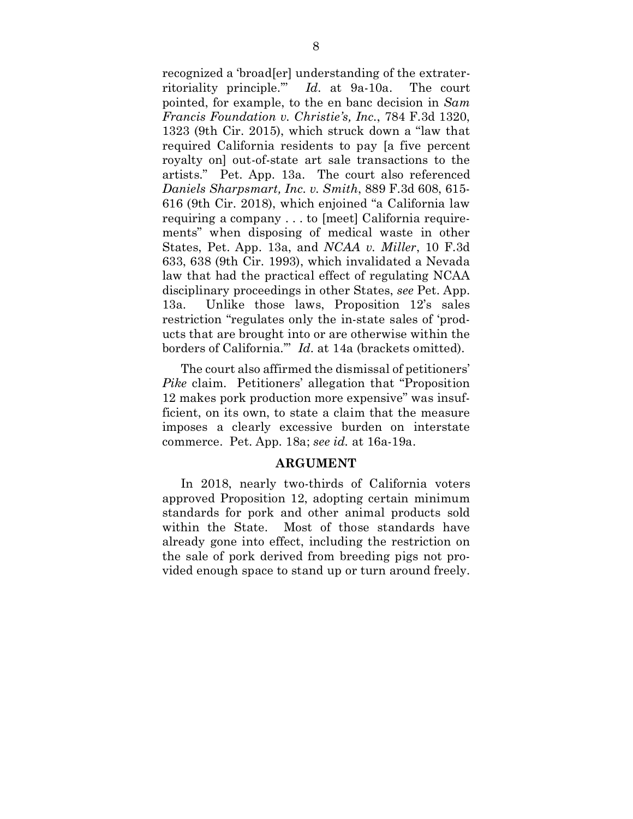<span id="page-17-0"></span>recognized a 'broad[er] understanding of the extraterritoriality principle.'" *Id.* at 9a-10a. The court pointed, for example, to the en banc decision in *Sam Francis Foundation v. Christie's, Inc.*, 784 F.3d 1320, 1323 (9th Cir. 2015), which struck down a "law that required California residents to pay [a five percent royalty on] out-of-state art sale transactions to the artists." Pet. App. 13a. The court also referenced *Daniels Sharpsmart, Inc. v. Smith*, 889 F.3d 608, 615- 616 (9th Cir. 2018), which enjoined "a California law requiring a company . . . to [meet] California requirements" when disposing of medical waste in other States, Pet. App. 13a, and *NCAA v. Miller*, 10 F.3d 633, 638 (9th Cir. 1993), which invalidated a Nevada law that had the practical effect of regulating NCAA disciplinary proceedings in other States, *see* Pet. App. 13a. Unlike those laws, Proposition 12's sales restriction "regulates only the in-state sales of 'products that are brought into or are otherwise within the borders of California.'" *Id.* at 14a (brackets omitted).

The court also affirmed the dismissal of petitioners' *Pike* claim. Petitioners' allegation that "Proposition 12 makes pork production more expensive" was insufficient, on its own, to state a claim that the measure imposes a clearly excessive burden on interstate commerce. Pet. App. 18a; *see id.* at 16a-19a.

### **ARGUMENT**

In 2018, nearly two-thirds of California voters approved Proposition 12, adopting certain minimum standards for pork and other animal products sold within the State. Most of those standards have already gone into effect, including the restriction on the sale of pork derived from breeding pigs not provided enough space to stand up or turn around freely.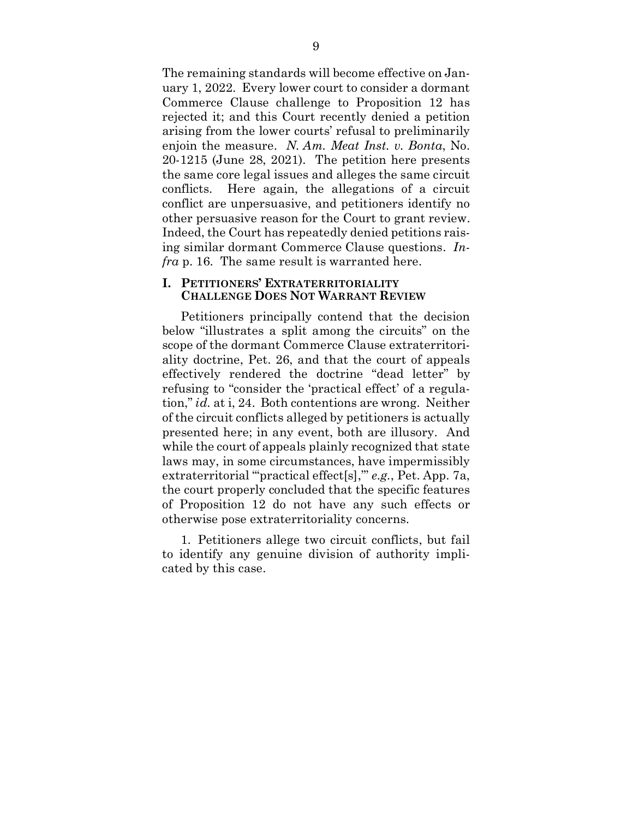The remaining standards will become effective on January 1, 2022. Every lower court to consider a dormant Commerce Clause challenge to Proposition 12 has rejected it; and this Court recently denied a petition arising from the lower courts' refusal to preliminarily enjoin the measure. *N. Am. Meat Inst. v. Bonta*, No. 20-1215 (June 28, 2021). The petition here presents the same core legal issues and alleges the same circuit conflicts. Here again, the allegations of a circuit conflict are unpersuasive, and petitioners identify no other persuasive reason for the Court to grant review. Indeed, the Court has repeatedly denied petitions raising similar dormant Commerce Clause questions. *Infra* p. 16. The same result is warranted here.

#### **I. PETITIONERS' EXTRATERRITORIALITY CHALLENGE DOES NOT WARRANT REVIEW**

Petitioners principally contend that the decision below "illustrates a split among the circuits" on the scope of the dormant Commerce Clause extraterritoriality doctrine, Pet. 26, and that the court of appeals effectively rendered the doctrine "dead letter" by refusing to "consider the 'practical effect' of a regulation," *id.* at i, 24. Both contentions are wrong. Neither of the circuit conflicts alleged by petitioners is actually presented here; in any event, both are illusory. And while the court of appeals plainly recognized that state laws may, in some circumstances, have impermissibly extraterritorial ""practical effect<sup>[s]</sup>," *e.g.*, Pet. App. 7a, the court properly concluded that the specific features of Proposition 12 do not have any such effects or otherwise pose extraterritoriality concerns.

1. Petitioners allege two circuit conflicts, but fail to identify any genuine division of authority implicated by this case.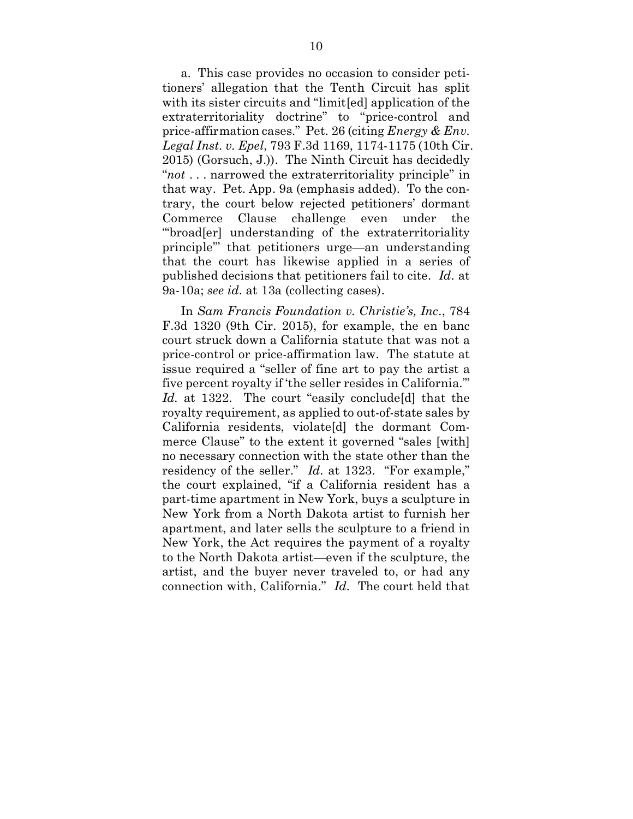a. This case provides no occasion to consider petitioners' allegation that the Tenth Circuit has split with its sister circuits and "limit[ed] application of the extraterritoriality doctrine" to "price-control and price-affirmation cases." Pet. 26 (citing *Energy & Env. Legal Inst. v. Epel*, 793 F.3d 1169, 1174-1175 (10th Cir. 2015) (Gorsuch, J.)). The Ninth Circuit has decidedly "*not* . . . narrowed the extraterritoriality principle" in that way. Pet. App. 9a (emphasis added). To the contrary, the court below rejected petitioners' dormant Commerce Clause challenge even under the "'broad[er] understanding of the extraterritoriality principle'" that petitioners urge—an understanding that the court has likewise applied in a series of published decisions that petitioners fail to cite. *Id.* at 9a-10a; *see id.* at 13a (collecting cases).

In *Sam Francis Foundation v. Christie's, Inc.*, 784 F.3d 1320 (9th Cir. 2015), for example, the en banc court struck down a California statute that was not a price-control or price-affirmation law. The statute at issue required a "seller of fine art to pay the artist a five percent royalty if 'the seller resides in California.'" *Id.* at 1322. The court "easily conclude[d] that the royalty requirement, as applied to out-of-state sales by California residents, violate[d] the dormant Commerce Clause" to the extent it governed "sales [with] no necessary connection with the state other than the residency of the seller." *Id.* at 1323. "For example," the court explained, "if a California resident has a part-time apartment in New York, buys a sculpture in New York from a North Dakota artist to furnish her apartment, and later sells the sculpture to a friend in New York, the Act requires the payment of a royalty to the North Dakota artist—even if the sculpture, the artist, and the buyer never traveled to, or had any connection with, California." *Id.* The court held that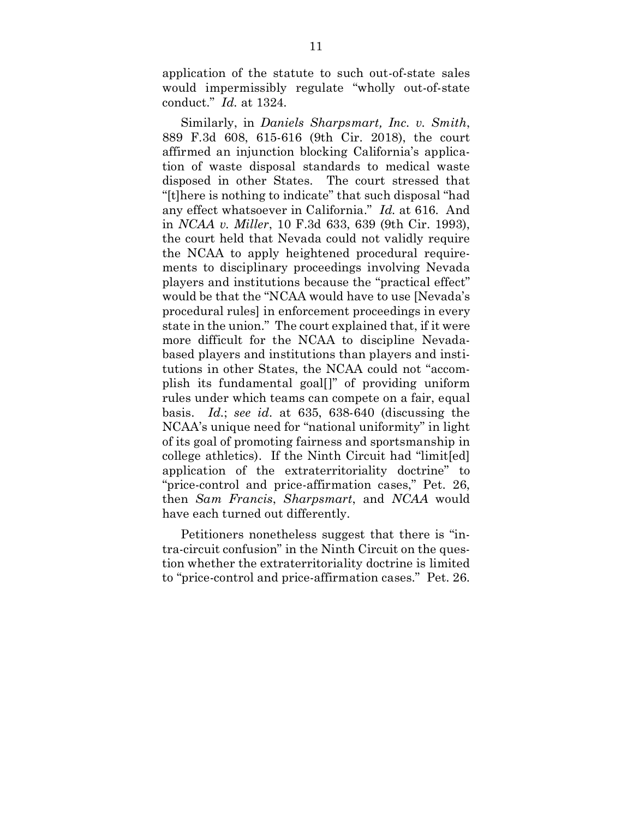application of the statute to such out-of-state sales would impermissibly regulate "wholly out-of-state conduct." *Id.* at 1324.

<span id="page-20-0"></span>Similarly, in *Daniels Sharpsmart, Inc. v. Smith*, 889 F.3d 608, 615-616 (9th Cir. 2018), the court affirmed an injunction blocking California's application of waste disposal standards to medical waste disposed in other States. The court stressed that "[t]here is nothing to indicate" that such disposal "had any effect whatsoever in California." *Id.* at 616. And in *NCAA v. Miller*, 10 F.3d 633, 639 (9th Cir. 1993), the court held that Nevada could not validly require the NCAA to apply heightened procedural requirements to disciplinary proceedings involving Nevada players and institutions because the "practical effect" would be that the "NCAA would have to use [Nevada's procedural rules] in enforcement proceedings in every state in the union." The court explained that, if it were more difficult for the NCAA to discipline Nevadabased players and institutions than players and institutions in other States, the NCAA could not "accomplish its fundamental goal[]" of providing uniform rules under which teams can compete on a fair, equal basis. *Id.*; *see id.* at 635, 638-640 (discussing the NCAA's unique need for "national uniformity" in light of its goal of promoting fairness and sportsmanship in college athletics). If the Ninth Circuit had "limit[ed] application of the extraterritoriality doctrine" to "price-control and price-affirmation cases," Pet. 26, then *Sam Francis*, *Sharpsmart*, and *NCAA* would have each turned out differently.

Petitioners nonetheless suggest that there is "intra-circuit confusion" in the Ninth Circuit on the question whether the extraterritoriality doctrine is limited to "price-control and price-affirmation cases." Pet. 26.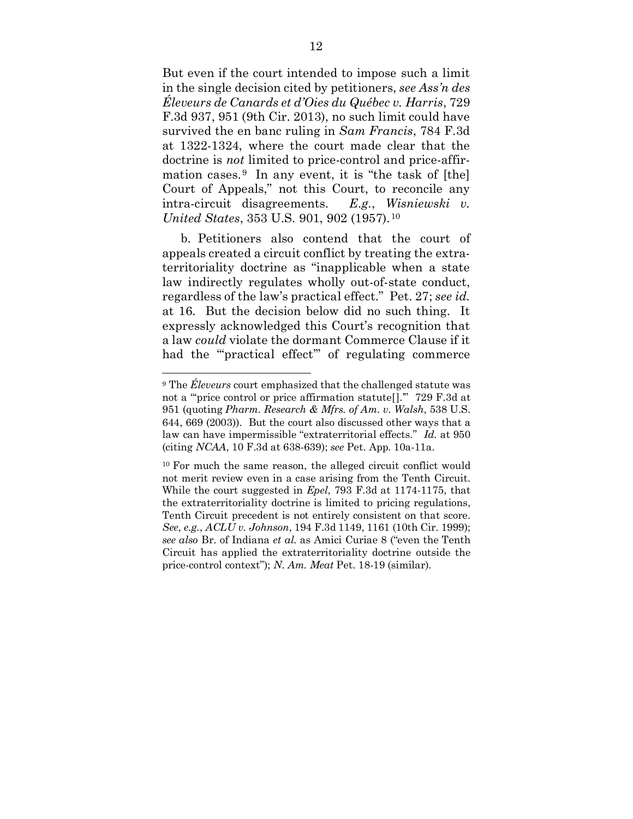<span id="page-21-1"></span>But even if the court intended to impose such a limit in the single decision cited by petitioners, *see Ass'n des Éleveurs de Canards et d'Oies du Québec v. Harris*, 729 F.3d 937, 951 (9th Cir. 2013), no such limit could have survived the en banc ruling in *Sam Francis*, 784 F.3d at 1322-1324, where the court made clear that the doctrine is *not* limited to price-control and price-affirmation cases.  $9 \text{ In any event, it is "the task of [the]}$  $9 \text{ In any event, it is "the task of [the]}$ Court of Appeals," not this Court, to reconcile any intra-circuit disagreements. *E.g.*, *Wisniewski v. United States*, 353 U.S. 901, 902 (1957).[10](#page-21-5)

<span id="page-21-3"></span>b. Petitioners also contend that the court of appeals created a circuit conflict by treating the extraterritoriality doctrine as "inapplicable when a state law indirectly regulates wholly out-of-state conduct, regardless of the law's practical effect." Pet. 27; *see id.* at 16. But the decision below did no such thing. It expressly acknowledged this Court's recognition that a law *could* violate the dormant Commerce Clause if it had the "practical effect" of regulating commerce

<span id="page-21-4"></span><span id="page-21-2"></span><sup>9</sup> The *Éleveurs* court emphasized that the challenged statute was not a "'price control or price affirmation statute[].'" 729 F.3d at 951 (quoting *Pharm. Research & Mfrs. of Am. v. Walsh*, 538 U.S. 644, 669 (2003)). But the court also discussed other ways that a law can have impermissible "extraterritorial effects." *Id.* at 950 (citing *NCAA*, 10 F.3d at 638-639); *see* Pet. App. 10a-11a.

<span id="page-21-5"></span><span id="page-21-0"></span><sup>&</sup>lt;sup>10</sup> For much the same reason, the alleged circuit conflict would not merit review even in a case arising from the Tenth Circuit. While the court suggested in *Epel*, 793 F.3d at 1174-1175, that the extraterritoriality doctrine is limited to pricing regulations, Tenth Circuit precedent is not entirely consistent on that score. *See*, *e.g.*, *ACLU v. Johnson*, 194 F.3d 1149, 1161 (10th Cir. 1999); *see also* Br. of Indiana *et al.* as Amici Curiae 8 ("even the Tenth Circuit has applied the extraterritoriality doctrine outside the price-control context"); *N. Am. Meat* Pet. 18-19 (similar).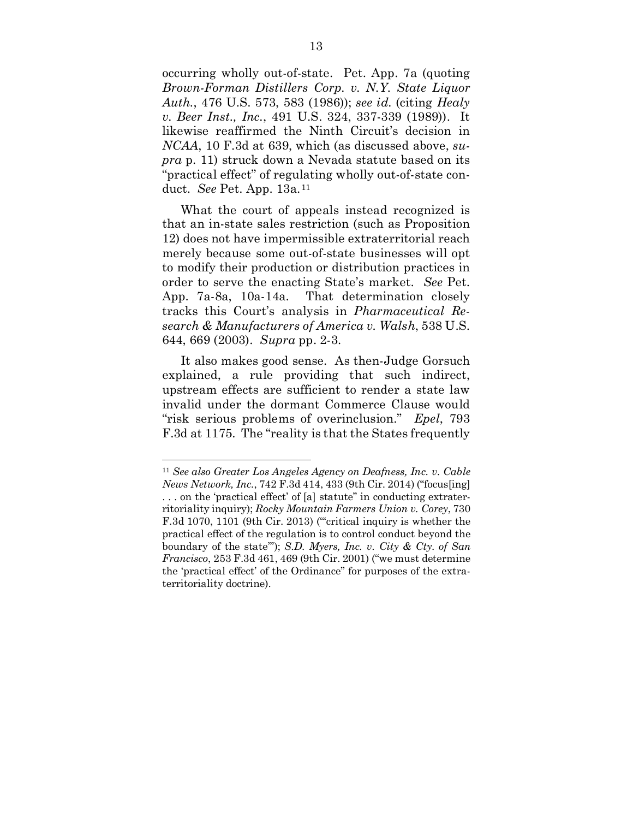<span id="page-22-2"></span><span id="page-22-0"></span>occurring wholly out-of-state. Pet. App. 7a (quoting *Brown-Forman Distillers Corp. v. N.Y. State Liquor Auth.*, 476 U.S. 573, 583 (1986)); *see id.* (citing *Healy v. Beer Inst., Inc.*, 491 U.S. 324, 337-339 (1989)). It likewise reaffirmed the Ninth Circuit's decision in *NCAA*, 10 F.3d at 639, which (as discussed above, *supra* p. 11) struck down a Nevada statute based on its "practical effect" of regulating wholly out-of-state conduct. *See* Pet. App. 13a.[11](#page-22-6)

What the court of appeals instead recognized is that an in-state sales restriction (such as Proposition 12) does not have impermissible extraterritorial reach merely because some out-of-state businesses will opt to modify their production or distribution practices in order to serve the enacting State's market. *See* Pet. App. 7a-8a, 10a-14a. That determination closely tracks this Court's analysis in *Pharmaceutical Research & Manufacturers of America v. Walsh*, 538 U.S. 644, 669 (2003). *Supra* pp. 2-3.

<span id="page-22-3"></span>It also makes good sense. As then-Judge Gorsuch explained, a rule providing that such indirect, upstream effects are sufficient to render a state law invalid under the dormant Commerce Clause would "risk serious problems of overinclusion." *Epel*, 793 F.3d at 1175. The "reality is that the States frequently

<span id="page-22-1"></span> $\overline{a}$ 

<span id="page-22-6"></span><span id="page-22-5"></span><span id="page-22-4"></span><sup>11</sup> *See also Greater Los Angeles Agency on Deafness, Inc. v. Cable News Network, Inc.*, 742 F.3d 414, 433 (9th Cir. 2014) ("focus[ing] . . . on the 'practical effect' of [a] statute" in conducting extraterritoriality inquiry); *Rocky Mountain Farmers Union v. Corey*, 730 F.3d 1070, 1101 (9th Cir. 2013) ("critical inquiry is whether the practical effect of the regulation is to control conduct beyond the boundary of the state'"); *S.D. Myers, Inc. v. City & Cty. of San Francisco*, 253 F.3d 461, 469 (9th Cir. 2001) ("we must determine the 'practical effect' of the Ordinance" for purposes of the extraterritoriality doctrine).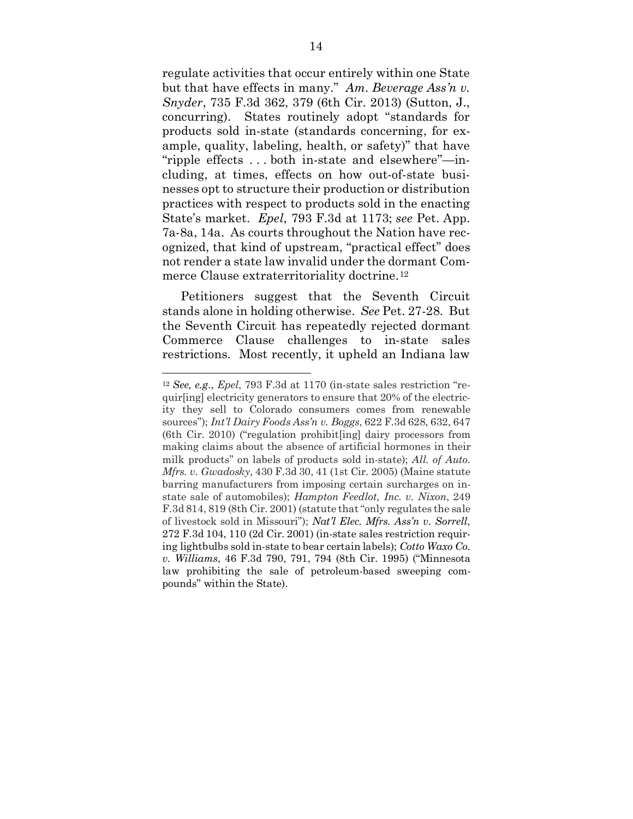<span id="page-23-1"></span>regulate activities that occur entirely within one State but that have effects in many." *Am. Beverage Ass'n v. Snyder*, 735 F.3d 362, 379 (6th Cir. 2013) (Sutton, J., concurring). States routinely adopt "standards for products sold in-state (standards concerning, for example, quality, labeling, health, or safety)" that have "ripple effects . . . both in-state and elsewhere"—including, at times, effects on how out-of-state businesses opt to structure their production or distribution practices with respect to products sold in the enacting State's market. *Epel*, 793 F.3d at 1173; *see* Pet. App. 7a-8a, 14a. As courts throughout the Nation have recognized, that kind of upstream, "practical effect" does not render a state law invalid under the dormant Com-merce Clause extraterritoriality doctrine.<sup>[12](#page-23-6)</sup>

Petitioners suggest that the Seventh Circuit stands alone in holding otherwise. *See* Pet. 27-28. But the Seventh Circuit has repeatedly rejected dormant Commerce Clause challenges to in-state sales restrictions. Most recently, it upheld an Indiana law

<span id="page-23-6"></span><span id="page-23-5"></span><span id="page-23-4"></span><span id="page-23-3"></span><span id="page-23-2"></span><span id="page-23-0"></span><sup>12</sup> *See, e.g*., *Epel*, 793 F.3d at 1170 (in-state sales restriction "requir[ing] electricity generators to ensure that 20% of the electricity they sell to Colorado consumers comes from renewable sources"); *Int'l Dairy Foods Ass'n v. Boggs*, 622 F.3d 628, 632, 647 (6th Cir. 2010) ("regulation prohibit[ing] dairy processors from making claims about the absence of artificial hormones in their milk products" on labels of products sold in-state); *All. of Auto. Mfrs. v. Gwadosky*, 430 F.3d 30, 41 (1st Cir. 2005) (Maine statute barring manufacturers from imposing certain surcharges on instate sale of automobiles); *Hampton Feedlot, Inc. v. Nixon*, 249 F.3d 814, 819 (8th Cir. 2001) (statute that "only regulates the sale of livestock sold in Missouri"); *Nat'l Elec. Mfrs. Ass'n v. Sorrell*, 272 F.3d 104, 110 (2d Cir. 2001) (in-state sales restriction requiring lightbulbs sold in-state to bear certain labels); *Cotto Waxo Co. v. Williams*, 46 F.3d 790, 791, 794 (8th Cir. 1995) ("Minnesota law prohibiting the sale of petroleum-based sweeping compounds" within the State).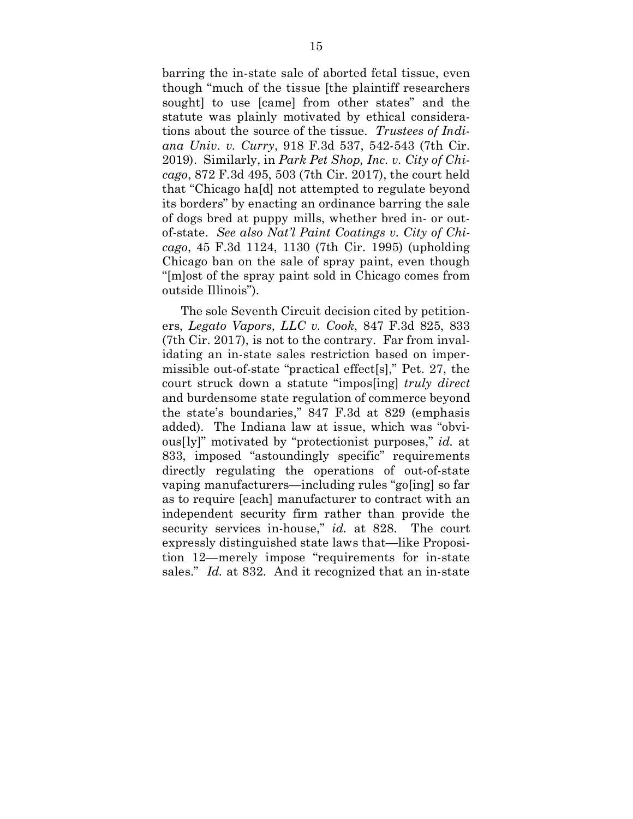<span id="page-24-3"></span><span id="page-24-2"></span>barring the in-state sale of aborted fetal tissue, even though "much of the tissue [the plaintiff researchers sought] to use [came] from other states" and the statute was plainly motivated by ethical considerations about the source of the tissue. *Trustees of Indiana Univ. v. Curry*, 918 F.3d 537, 542-543 (7th Cir. 2019). Similarly, in *Park Pet Shop, Inc. v. City of Chicago*, 872 F.3d 495, 503 (7th Cir. 2017), the court held that "Chicago ha[d] not attempted to regulate beyond its borders" by enacting an ordinance barring the sale of dogs bred at puppy mills, whether bred in- or outof-state. *See also Nat'l Paint Coatings v. City of Chicago*, 45 F.3d 1124, 1130 (7th Cir. 1995) (upholding Chicago ban on the sale of spray paint, even though "[m]ost of the spray paint sold in Chicago comes from outside Illinois").

<span id="page-24-1"></span><span id="page-24-0"></span>The sole Seventh Circuit decision cited by petitioners, *Legato Vapors, LLC v. Cook*, 847 F.3d 825, 833 (7th Cir. 2017), is not to the contrary. Far from invalidating an in-state sales restriction based on impermissible out-of-state "practical effect[s]," Pet. 27, the court struck down a statute "impos[ing] *truly direct* and burdensome state regulation of commerce beyond the state's boundaries," 847 F.3d at 829 (emphasis added). The Indiana law at issue, which was "obvious[ly]" motivated by "protectionist purposes," *id.* at 833, imposed "astoundingly specific" requirements directly regulating the operations of out-of-state vaping manufacturers—including rules "go[ing] so far as to require [each] manufacturer to contract with an independent security firm rather than provide the security services in-house," *id.* at 828. The court expressly distinguished state laws that—like Proposition 12—merely impose "requirements for in-state sales." *Id.* at 832. And it recognized that an in-state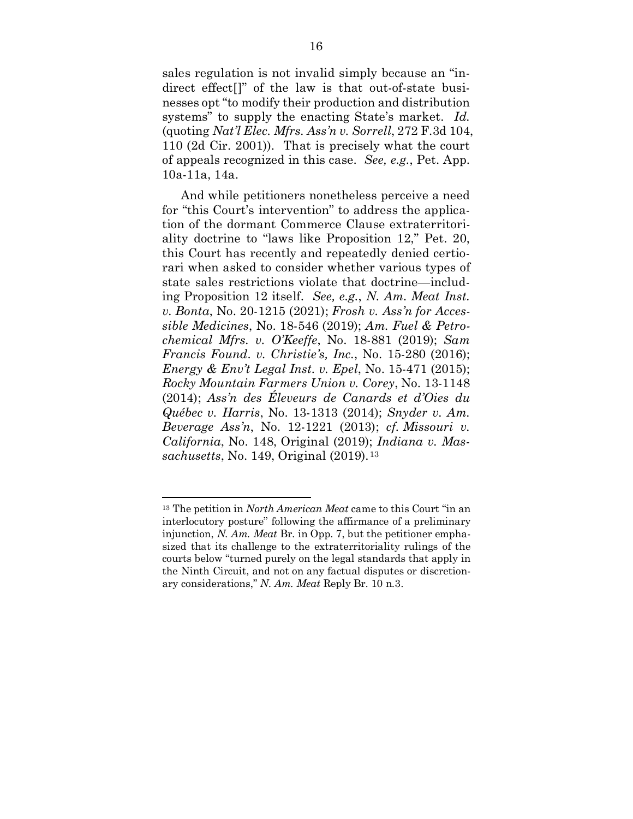<span id="page-25-1"></span><span id="page-25-0"></span>sales regulation is not invalid simply because an "indirect effect[]" of the law is that out-of-state businesses opt "to modify their production and distribution systems" to supply the enacting State's market. *Id.* (quoting *Nat'l Elec. Mfrs. Ass'n v. Sorrell*, 272 F.3d 104, 110 (2d Cir. 2001)). That is precisely what the court of appeals recognized in this case. *See, e.g.*, Pet. App. 10a-11a, 14a.

And while petitioners nonetheless perceive a need for "this Court's intervention" to address the application of the dormant Commerce Clause extraterritoriality doctrine to "laws like Proposition 12," Pet. 20, this Court has recently and repeatedly denied certiorari when asked to consider whether various types of state sales restrictions violate that doctrine—including Proposition 12 itself. *See, e.g.*, *N. Am. Meat Inst. v. Bonta*, No. 20-1215 (2021); *Frosh v. Ass'n for Accessible Medicines*, No. 18-546 (2019); *Am. Fuel & Petrochemical Mfrs. v. O'Keeffe*, No. 18-881 (2019); *Sam Francis Found. v. Christie's, Inc.*, No. 15-280 (2016); *Energy & Env't Legal Inst. v. Epel*, No. 15-471 (2015); *Rocky Mountain Farmers Union v. Corey*, No. 13-1148 (2014); *Ass'n des Éleveurs de Canards et d'Oies du Québec v. Harris*, No. 13-1313 (2014); *Snyder v. Am. Beverage Ass'n*, No. 12-1221 (2013); *cf. Missouri v. California*, No. 148, Original (2019); *Indiana v. Massachusetts*, No. 149, Original (2019).[13](#page-25-2)

 $\overline{a}$ 

<span id="page-25-2"></span><sup>13</sup> The petition in *North American Meat* came to this Court "in an interlocutory posture" following the affirmance of a preliminary injunction, *N. Am. Meat* Br. in Opp. 7, but the petitioner emphasized that its challenge to the extraterritoriality rulings of the courts below "turned purely on the legal standards that apply in the Ninth Circuit, and not on any factual disputes or discretionary considerations," *N. Am. Meat* Reply Br. 10 n.3.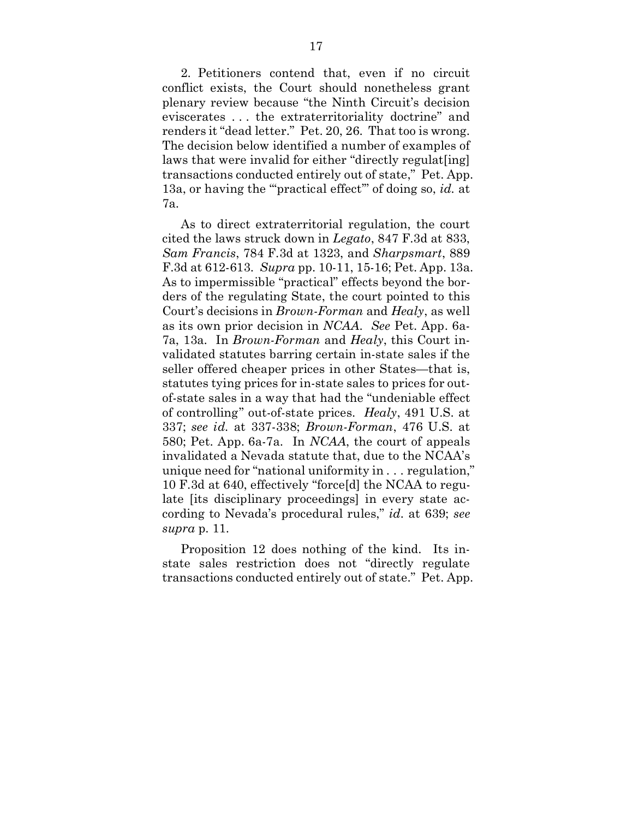2. Petitioners contend that, even if no circuit conflict exists, the Court should nonetheless grant plenary review because "the Ninth Circuit's decision eviscerates . . . the extraterritoriality doctrine" and renders it "dead letter." Pet. 20, 26. That too is wrong. The decision below identified a number of examples of laws that were invalid for either "directly regulat [ing] transactions conducted entirely out of state," Pet. App. 13a, or having the "'practical effect'" of doing so, *id.* at 7a.

<span id="page-26-3"></span><span id="page-26-2"></span><span id="page-26-1"></span><span id="page-26-0"></span>As to direct extraterritorial regulation, the court cited the laws struck down in *Legato*, 847 F.3d at 833, *Sam Francis*, 784 F.3d at 1323, and *Sharpsmart*, 889 F.3d at 612-613. *Supra* pp. 10-11, 15-16; Pet. App. 13a. As to impermissible "practical" effects beyond the borders of the regulating State, the court pointed to this Court's decisions in *Brown-Forman* and *Healy*, as well as its own prior decision in *NCAA*. *See* Pet. App. 6a-7a, 13a. In *Brown-Forman* and *Healy*, this Court invalidated statutes barring certain in-state sales if the seller offered cheaper prices in other States—that is, statutes tying prices for in-state sales to prices for outof-state sales in a way that had the "undeniable effect of controlling" out-of-state prices. *Healy*, 491 U.S. at 337; *see id.* at 337-338; *Brown-Forman*, 476 U.S. at 580; Pet. App. 6a-7a. In *NCAA*, the court of appeals invalidated a Nevada statute that, due to the NCAA's unique need for "national uniformity in . . . regulation," 10 F.3d at 640, effectively "force[d] the NCAA to regulate [its disciplinary proceedings] in every state according to Nevada's procedural rules," *id.* at 639; *see supra* p. 11.

Proposition 12 does nothing of the kind. Its instate sales restriction does not "directly regulate transactions conducted entirely out of state." Pet. App.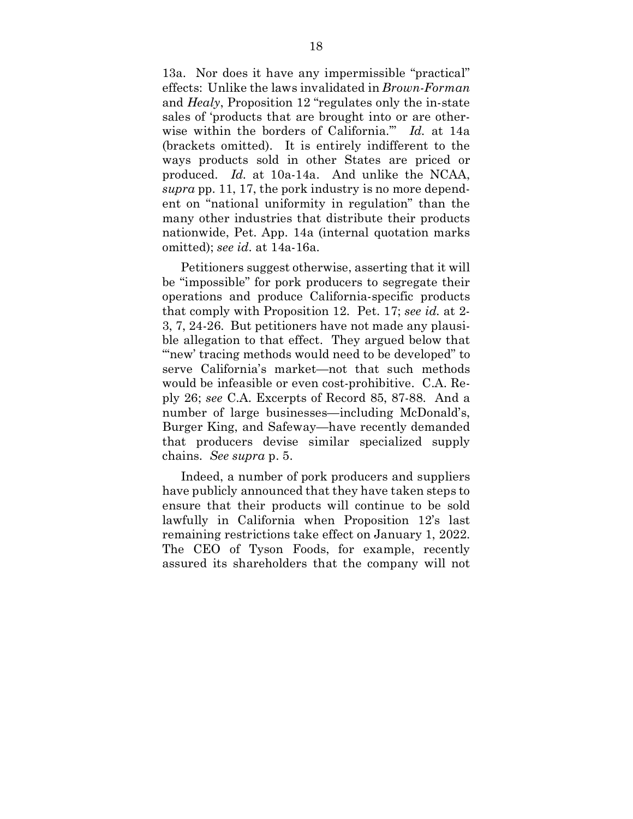<span id="page-27-0"></span>13a. Nor does it have any impermissible "practical" effects: Unlike the laws invalidated in *Brown-Forman* and *Healy*, Proposition 12 "regulates only the in-state sales of 'products that are brought into or are otherwise within the borders of California.'" *Id.* at 14a (brackets omitted). It is entirely indifferent to the ways products sold in other States are priced or produced. *Id.* at 10a-14a. And unlike the NCAA, *supra* pp. 11, 17, the pork industry is no more dependent on "national uniformity in regulation" than the many other industries that distribute their products nationwide, Pet. App. 14a (internal quotation marks omitted); *see id.* at 14a-16a.

Petitioners suggest otherwise, asserting that it will be "impossible" for pork producers to segregate their operations and produce California-specific products that comply with Proposition 12. Pet. 17; *see id.* at 2- 3, 7, 24-26. But petitioners have not made any plausible allegation to that effect. They argued below that "new' tracing methods would need to be developed" to serve California's market—not that such methods would be infeasible or even cost-prohibitive. C.A. Reply 26; *see* C.A. Excerpts of Record 85, 87-88. And a number of large businesses—including McDonald's, Burger King, and Safeway—have recently demanded that producers devise similar specialized supply chains. *See supra* p. 5.

Indeed, a number of pork producers and suppliers have publicly announced that they have taken steps to ensure that their products will continue to be sold lawfully in California when Proposition 12's last remaining restrictions take effect on January 1, 2022. The CEO of Tyson Foods, for example, recently assured its shareholders that the company will not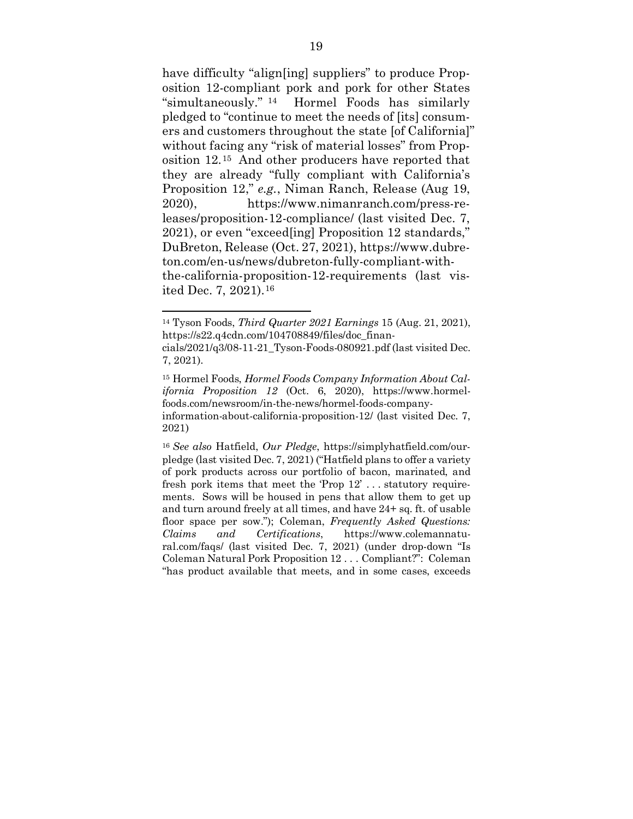<span id="page-28-4"></span>have difficulty "align[ing] suppliers" to produce Proposition 12-compliant pork and pork for other States "simultaneously." [14](#page-28-6) Hormel Foods has similarly pledged to "continue to meet the needs of [its] consumers and customers throughout the state [of California]" without facing any "risk of material losses" from Proposition 12.[15](#page-28-7) And other producers have reported that they are already "fully compliant with California's Proposition 12," *e.g.*, Niman Ranch, Release (Aug 19, 2020), https://www.nimanranch.com/press-releases/proposition-12-compliance/ (last visited Dec. 7, 2021), or even "exceed[ing] Proposition 12 standards," DuBreton, Release (Oct. 27, 2021), https://www.dubreton.com/en-us/news/dubreton-fully-compliant-withthe-california-proposition-12-requirements (last visited Dec. 7, 2021).[16](#page-28-8)

<span id="page-28-1"></span> $\overline{a}$ 

<span id="page-28-6"></span><span id="page-28-5"></span><sup>14</sup> Tyson Foods, *Third Quarter 2021 Earnings* 15 (Aug. 21, 2021), https://s22.q4cdn.com/104708849/files/doc\_financials/2021/q3/08-11-21\_Tyson-Foods-080921.pdf (last visited Dec.

<sup>7, 2021).</sup>

<span id="page-28-7"></span><span id="page-28-3"></span><sup>15</sup> Hormel Foods, *Hormel Foods Company Information About California Proposition 12* (Oct. 6, 2020), https://www.hormelfoods.com/newsroom/in-the-news/hormel-foods-companyinformation-about-california-proposition-12/ (last visited Dec. 7, 2021)

<span id="page-28-8"></span><span id="page-28-2"></span><span id="page-28-0"></span><sup>16</sup> *See also* Hatfield, *Our Pledge*, https://simplyhatfield.com/ourpledge (last visited Dec. 7, 2021) ("Hatfield plans to offer a variety of pork products across our portfolio of bacon, marinated, and fresh pork items that meet the 'Prop 12' . . . statutory requirements. Sows will be housed in pens that allow them to get up and turn around freely at all times, and have 24+ sq. ft. of usable floor space per sow."); Coleman, *Frequently Asked Questions: Claims and Certifications*, https://www.colemannatural.com/faqs/ (last visited Dec. 7, 2021) (under drop-down "Is Coleman Natural Pork Proposition 12 . . . Compliant?": Coleman "has product available that meets, and in some cases, exceeds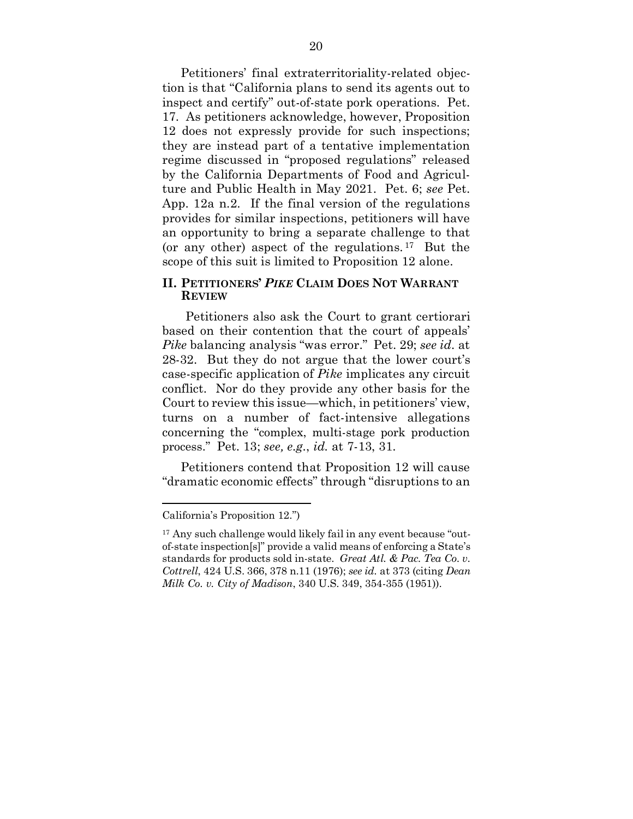Petitioners' final extraterritoriality-related objection is that "California plans to send its agents out to inspect and certify" out-of-state pork operations. Pet. 17. As petitioners acknowledge, however, Proposition 12 does not expressly provide for such inspections; they are instead part of a tentative implementation regime discussed in "proposed regulations" released by the California Departments of Food and Agriculture and Public Health in May 2021. Pet. 6; *see* Pet. App. 12a n.2. If the final version of the regulations provides for similar inspections, petitioners will have an opportunity to bring a separate challenge to that (or any other) aspect of the regulations. [17](#page-29-2) But the scope of this suit is limited to Proposition 12 alone.

### **II. PETITIONERS'** *PIKE* **CLAIM DOES NOT WARRANT REVIEW**

Petitioners also ask the Court to grant certiorari based on their contention that the court of appeals' *Pike* balancing analysis "was error." Pet. 29; *see id.* at 28-32. But they do not argue that the lower court's case-specific application of *Pike* implicates any circuit conflict. Nor do they provide any other basis for the Court to review this issue—which, in petitioners' view, turns on a number of fact-intensive allegations concerning the "complex, multi-stage pork production process." Pet. 13; *see, e.g.*, *id.* at 7-13, 31.

Petitioners contend that Proposition 12 will cause "dramatic economic effects" through "disruptions to an

California's Proposition 12.")

<span id="page-29-2"></span><span id="page-29-1"></span><span id="page-29-0"></span><sup>17</sup> Any such challenge would likely fail in any event because "outof-state inspection[s]" provide a valid means of enforcing a State's standards for products sold in-state. *Great Atl. & Pac. Tea Co. v. Cottrell*, 424 U.S. 366, 378 n.11 (1976); *see id.* at 373 (citing *Dean Milk Co. v. City of Madison*, 340 U.S. 349, 354-355 (1951)).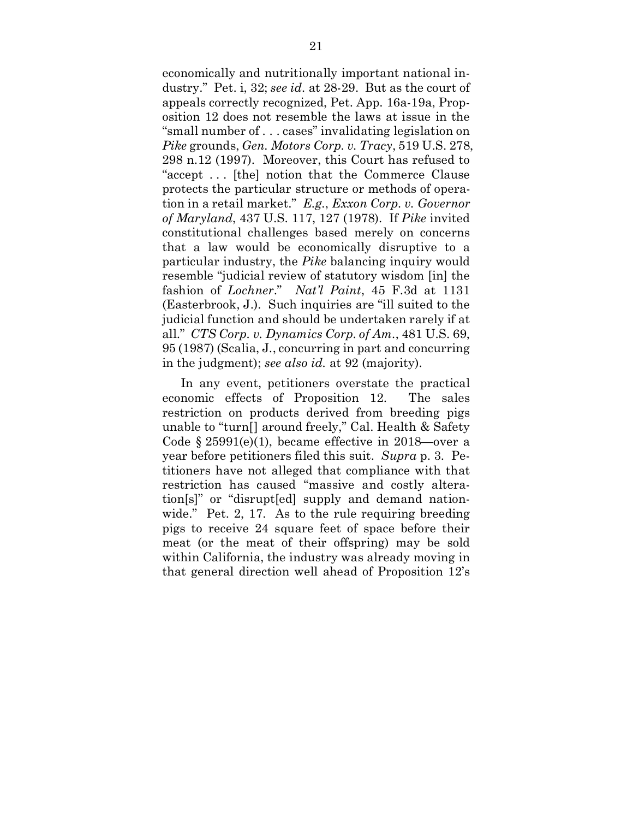<span id="page-30-2"></span><span id="page-30-1"></span>economically and nutritionally important national industry." Pet. i, 32; *see id.* at 28-29. But as the court of appeals correctly recognized, Pet. App. 16a-19a, Proposition 12 does not resemble the laws at issue in the "small number of . . . cases" invalidating legislation on *Pike* grounds, *Gen. Motors Corp. v. Tracy*, 519 U.S. 278, 298 n.12 (1997). Moreover, this Court has refused to "accept . . . [the] notion that the Commerce Clause protects the particular structure or methods of operation in a retail market." *E.g.*, *Exxon Corp. v. Governor of Maryland*, 437 U.S. 117, 127 (1978). If *Pike* invited constitutional challenges based merely on concerns that a law would be economically disruptive to a particular industry, the *Pike* balancing inquiry would resemble "judicial review of statutory wisdom [in] the fashion of *Lochner*." *Nat'l Paint*, 45 F.3d at 1131 (Easterbrook, J.). Such inquiries are "ill suited to the judicial function and should be undertaken rarely if at all." *CTS Corp. v. Dynamics Corp. of Am.*, 481 U.S. 69, 95 (1987) (Scalia, J., concurring in part and concurring in the judgment); *see also id.* at 92 (majority).

<span id="page-30-3"></span><span id="page-30-0"></span>In any event, petitioners overstate the practical economic effects of Proposition 12. The sales restriction on products derived from breeding pigs unable to "turn[] around freely," Cal. Health & Safety Code  $\S 25991(e)(1)$ , became effective in 2018—over a year before petitioners filed this suit. *Supra* p. 3. Petitioners have not alleged that compliance with that restriction has caused "massive and costly alteration[s]" or "disrupt[ed] supply and demand nationwide." Pet. 2, 17. As to the rule requiring breeding pigs to receive 24 square feet of space before their meat (or the meat of their offspring) may be sold within California, the industry was already moving in that general direction well ahead of Proposition 12's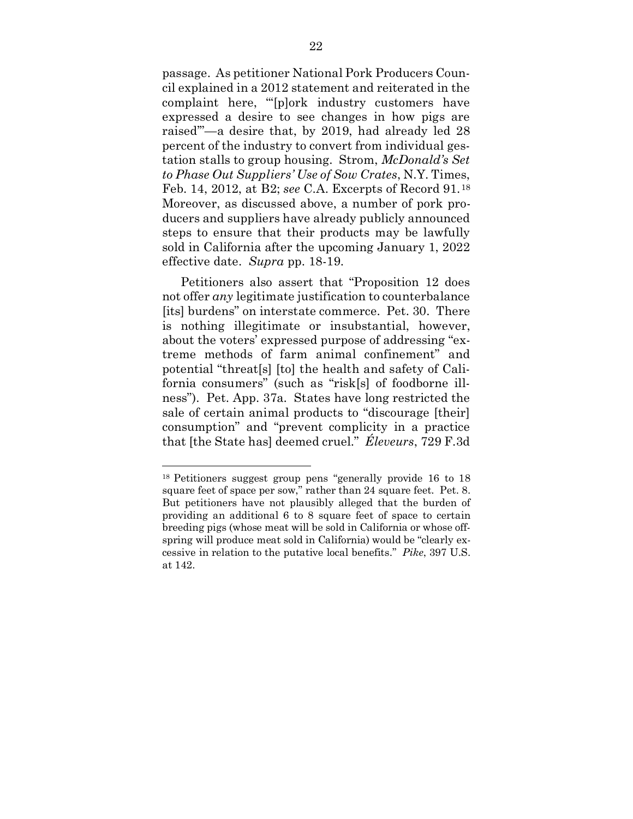<span id="page-31-1"></span>passage. As petitioner National Pork Producers Council explained in a 2012 statement and reiterated in the complaint here, "'[p]ork industry customers have expressed a desire to see changes in how pigs are raised'"—a desire that, by 2019, had already led 28 percent of the industry to convert from individual gestation stalls to group housing. Strom, *McDonald's Set to Phase Out Suppliers' Use of Sow Crates*, N.Y. Times, Feb. 14, 2012, at B2; *see* C.A. Excerpts of Record 91.[18](#page-31-2) Moreover, as discussed above, a number of pork producers and suppliers have already publicly announced steps to ensure that their products may be lawfully sold in California after the upcoming January 1, 2022 effective date. *Supra* pp. 18-19.

Petitioners also assert that "Proposition 12 does not offer *any* legitimate justification to counterbalance [its] burdens" on interstate commerce. Pet. 30. There is nothing illegitimate or insubstantial, however, about the voters' expressed purpose of addressing "extreme methods of farm animal confinement" and potential "threat[s] [to] the health and safety of California consumers" (such as "risk[s] of foodborne illness"). Pet. App. 37a. States have long restricted the sale of certain animal products to "discourage [their] consumption" and "prevent complicity in a practice that [the State has] deemed cruel." *Éleveurs*, 729 F.3d

<span id="page-31-2"></span><span id="page-31-0"></span><sup>18</sup> Petitioners suggest group pens "generally provide 16 to 18 square feet of space per sow," rather than 24 square feet. Pet. 8. But petitioners have not plausibly alleged that the burden of providing an additional 6 to 8 square feet of space to certain breeding pigs (whose meat will be sold in California or whose offspring will produce meat sold in California) would be "clearly excessive in relation to the putative local benefits." *Pike*, 397 U.S. at 142.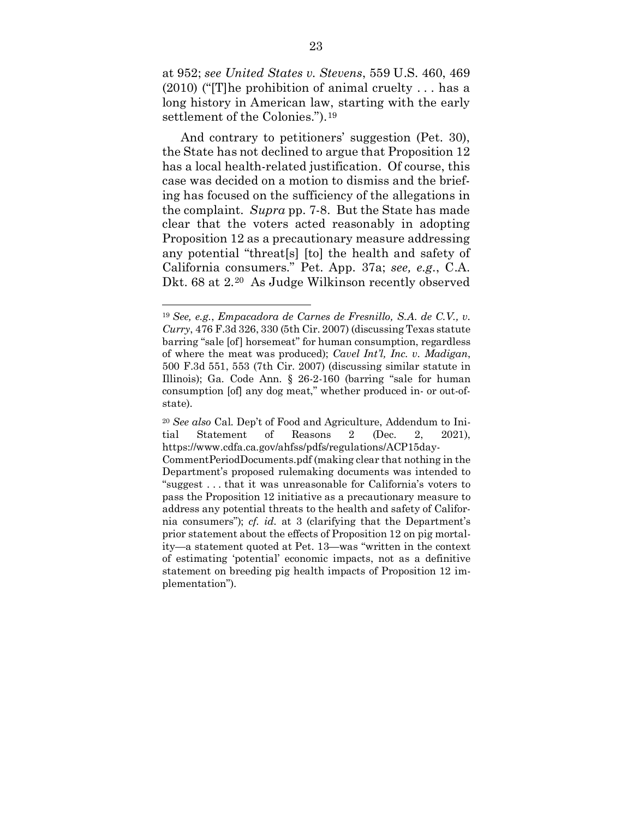<span id="page-32-2"></span>at 952; *see United States v. Stevens*, 559 U.S. 460, 469  $(2010)$  ("The prohibition of animal cruelty ... has a long history in American law, starting with the early settlement of the Colonies.").<sup>[19](#page-32-5)</sup>

And contrary to petitioners' suggestion (Pet. 30), the State has not declined to argue that Proposition 12 has a local health-related justification. Of course, this case was decided on a motion to dismiss and the briefing has focused on the sufficiency of the allegations in the complaint. *Supra* pp. 7-8. But the State has made clear that the voters acted reasonably in adopting Proposition 12 as a precautionary measure addressing any potential "threat[s] [to] the health and safety of California consumers." Pet. App. 37a; *see, e.g.*, C.A. Dkt. 68 at 2.[20](#page-32-6) As Judge Wilkinson recently observed

<span id="page-32-5"></span><span id="page-32-1"></span><span id="page-32-0"></span><sup>19</sup> *See, e.g.*, *Empacadora de Carnes de Fresnillo, S.A. de C.V., v. Curry*, 476 F.3d 326, 330 (5th Cir. 2007) (discussing Texas statute barring "sale [of] horsemeat" for human consumption, regardless of where the meat was produced); *Cavel Int'l, Inc. v. Madigan*, 500 F.3d 551, 553 (7th Cir. 2007) (discussing similar statute in Illinois); Ga. Code Ann. § 26-2-160 (barring "sale for human consumption [of] any dog meat," whether produced in- or out-ofstate).

<span id="page-32-6"></span><span id="page-32-4"></span><span id="page-32-3"></span><sup>20</sup> *See also* Cal. Dep't of Food and Agriculture, Addendum to Initial Statement of Reasons 2 (Dec. 2, 2021), https://www.cdfa.ca.gov/ahfss/pdfs/regulations/ACP15day-

CommentPeriodDocuments.pdf (making clear that nothing in the Department's proposed rulemaking documents was intended to "suggest . . . that it was unreasonable for California's voters to pass the Proposition 12 initiative as a precautionary measure to address any potential threats to the health and safety of California consumers"); *cf. id.* at 3 (clarifying that the Department's prior statement about the effects of Proposition 12 on pig mortality—a statement quoted at Pet. 13—was "written in the context of estimating 'potential' economic impacts, not as a definitive statement on breeding pig health impacts of Proposition 12 implementation").